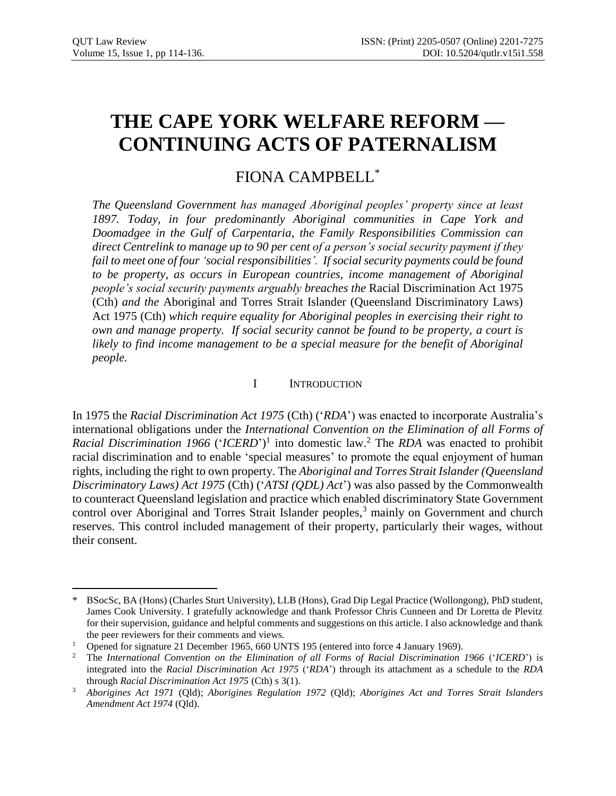# **THE CAPE YORK WELFARE REFORM — CONTINUING ACTS OF PATERNALISM**

# FIONA CAMPBELL\*

*The Queensland Government has managed Aboriginal peoples' property since at least 1897. Today, in four predominantly Aboriginal communities in Cape York and Doomadgee in the Gulf of Carpentaria, the Family Responsibilities Commission can direct Centrelink to manage up to 90 per cent of a person's social security payment if they fail to meet one of four 'social responsibilities'. If social security payments could be found to be property, as occurs in European countries, income management of Aboriginal people's social security payments arguably breaches the* Racial Discrimination Act 1975 (Cth) *and the* Aboriginal and Torres Strait Islander (Queensland Discriminatory Laws) Act 1975 (Cth) *which require equality for Aboriginal peoples in exercising their right to own and manage property. If social security cannot be found to be property, a court is likely to find income management to be a special measure for the benefit of Aboriginal people.* 

# I INTRODUCTION

In 1975 the *Racial Discrimination Act 1975* (Cth) ('*RDA*') was enacted to incorporate Australia's international obligations under the *International Convention on the Elimination of all Forms of Racial Discrimination 1966* ('*ICERD*') 1 into domestic law.<sup>2</sup> The *RDA* was enacted to prohibit racial discrimination and to enable 'special measures' to promote the equal enjoyment of human rights, including the right to own property. The *Aboriginal and Torres Strait Islander (Queensland Discriminatory Laws) Act 1975* (Cth) ('*ATSI (QDL) Act*') was also passed by the Commonwealth to counteract Queensland legislation and practice which enabled discriminatory State Government control over Aboriginal and Torres Strait Islander peoples,<sup>3</sup> mainly on Government and church reserves. This control included management of their property, particularly their wages, without their consent.

 $\overline{a}$ \* BSocSc, BA (Hons) (Charles Sturt University), LLB (Hons), Grad Dip Legal Practice (Wollongong), PhD student, James Cook University. I gratefully acknowledge and thank Professor Chris Cunneen and Dr Loretta de Plevitz for their supervision, guidance and helpful comments and suggestions on this article. I also acknowledge and thank the peer reviewers for their comments and views.

<sup>&</sup>lt;sup>1</sup> Opened for signature 21 December 1965, 660 UNTS 195 (entered into force 4 January 1969).

<sup>2</sup> The *International Convention on the Elimination of all Forms of Racial Discrimination 1966* ('*ICERD*') is integrated into the *Racial Discrimination Act 1975* ('*RDA*') through its attachment as a schedule to the *RDA* through *Racial Discrimination Act 1975* (Cth) s 3(1).

<sup>3</sup> *Aborigines Act 1971* (Qld); *Aborigines Regulation 1972* (Qld); *Aborigines Act and Torres Strait Islanders Amendment Act 1974* (Qld).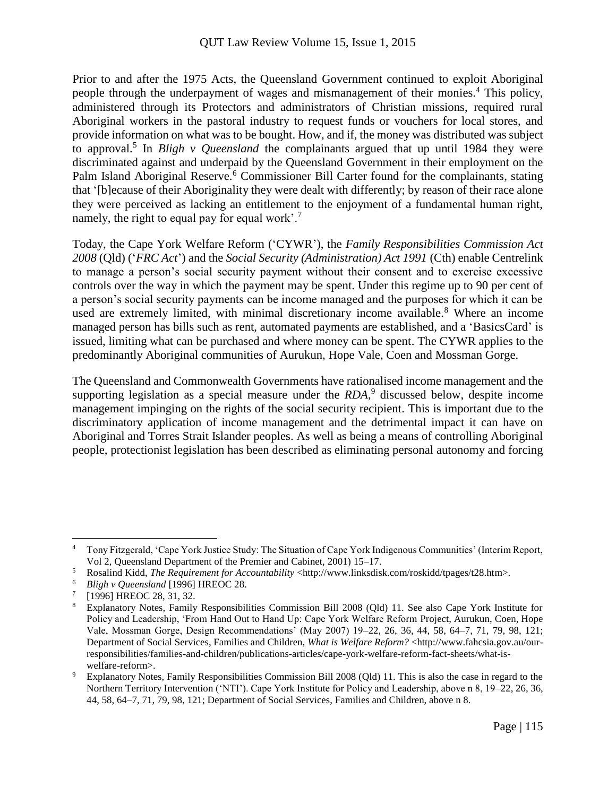Prior to and after the 1975 Acts, the Queensland Government continued to exploit Aboriginal people through the underpayment of wages and mismanagement of their monies. <sup>4</sup> This policy, administered through its Protectors and administrators of Christian missions, required rural Aboriginal workers in the pastoral industry to request funds or vouchers for local stores, and provide information on what was to be bought. How, and if, the money was distributed was subject to approval.<sup>5</sup> In *Bligh v Queensland* the complainants argued that up until 1984 they were discriminated against and underpaid by the Queensland Government in their employment on the Palm Island Aboriginal Reserve.<sup>6</sup> Commissioner Bill Carter found for the complainants, stating that '[b]ecause of their Aboriginality they were dealt with differently; by reason of their race alone they were perceived as lacking an entitlement to the enjoyment of a fundamental human right, namely, the right to equal pay for equal work'.<sup>7</sup>

Today, the Cape York Welfare Reform ('CYWR'), the *Family Responsibilities Commission Act 2008* (Qld) ('*FRC Act*') and the *Social Security (Administration) Act 1991* (Cth) enable Centrelink to manage a person's social security payment without their consent and to exercise excessive controls over the way in which the payment may be spent. Under this regime up to 90 per cent of a person's social security payments can be income managed and the purposes for which it can be used are extremely limited, with minimal discretionary income available.<sup>8</sup> Where an income managed person has bills such as rent, automated payments are established, and a 'BasicsCard' is issued, limiting what can be purchased and where money can be spent. The CYWR applies to the predominantly Aboriginal communities of Aurukun, Hope Vale, Coen and Mossman Gorge.

The Queensland and Commonwealth Governments have rationalised income management and the supporting legislation as a special measure under the *RDA*, 9 discussed below, despite income management impinging on the rights of the social security recipient. This is important due to the discriminatory application of income management and the detrimental impact it can have on Aboriginal and Torres Strait Islander peoples. As well as being a means of controlling Aboriginal people, protectionist legislation has been described as eliminating personal autonomy and forcing

<sup>4</sup> Tony Fitzgerald, 'Cape York Justice Study: The Situation of Cape York Indigenous Communities' (Interim Report, Vol 2, Queensland Department of the Premier and Cabinet, 2001) 15–17.

<sup>5</sup> Rosalind Kidd, *The Requirement for Accountability* <http://www.linksdisk.com/roskidd/tpages/t28.htm>.

<sup>6</sup> *Bligh v Queensland* [1996] HREOC 28.

<sup>7</sup> [1996] HREOC 28, 31, 32.

<sup>8</sup> Explanatory Notes, Family Responsibilities Commission Bill 2008 (Qld) 11. See also Cape York Institute for Policy and Leadership, 'From Hand Out to Hand Up: Cape York Welfare Reform Project, Aurukun, Coen, Hope Vale, Mossman Gorge, Design Recommendations' (May 2007) 19–22, 26, 36, 44, 58, 64–7, 71, 79, 98, 121; Department of Social Services, Families and Children, *What is Welfare Reform?* <http://www.fahcsia.gov.au/ourresponsibilities/families-and-children/publications-articles/cape-york-welfare-reform-fact-sheets/what-iswelfare-reform>.

<sup>9</sup> Explanatory Notes, Family Responsibilities Commission Bill 2008 (Qld) 11. This is also the case in regard to the Northern Territory Intervention ('NTI'). Cape York Institute for Policy and Leadership, above n 8, 19–22, 26, 36, 44, 58, 64–7, 71, 79, 98, 121; Department of Social Services, Families and Children, above n 8.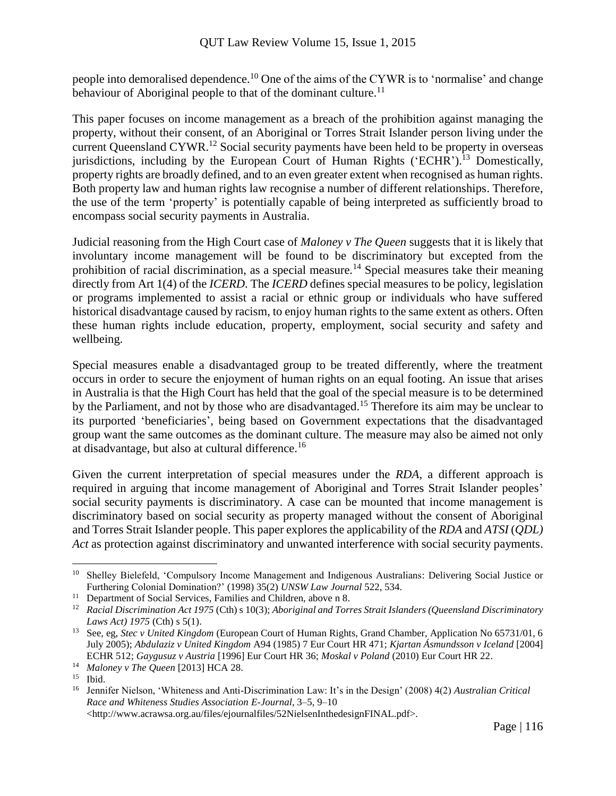people into demoralised dependence.<sup>10</sup> One of the aims of the CYWR is to 'normalise' and change behaviour of Aboriginal people to that of the dominant culture.<sup>11</sup>

This paper focuses on income management as a breach of the prohibition against managing the property, without their consent, of an Aboriginal or Torres Strait Islander person living under the current Queensland CYWR.<sup>12</sup> Social security payments have been held to be property in overseas jurisdictions, including by the European Court of Human Rights ('ECHR').<sup>13</sup> Domestically, property rights are broadly defined, and to an even greater extent when recognised as human rights. Both property law and human rights law recognise a number of different relationships. Therefore, the use of the term 'property' is potentially capable of being interpreted as sufficiently broad to encompass social security payments in Australia.

Judicial reasoning from the High Court case of *Maloney v The Queen* suggests that it is likely that involuntary income management will be found to be discriminatory but excepted from the prohibition of racial discrimination, as a special measure.<sup>14</sup> Special measures take their meaning directly from Art 1(4) of the *ICERD*. The *ICERD* defines special measures to be policy, legislation or programs implemented to assist a racial or ethnic group or individuals who have suffered historical disadvantage caused by racism, to enjoy human rights to the same extent as others. Often these human rights include education, property, employment, social security and safety and wellbeing.

Special measures enable a disadvantaged group to be treated differently, where the treatment occurs in order to secure the enjoyment of human rights on an equal footing. An issue that arises in Australia is that the High Court has held that the goal of the special measure is to be determined by the Parliament, and not by those who are disadvantaged.<sup>15</sup> Therefore its aim may be unclear to its purported 'beneficiaries', being based on Government expectations that the disadvantaged group want the same outcomes as the dominant culture. The measure may also be aimed not only at disadvantage, but also at cultural difference.<sup>16</sup>

Given the current interpretation of special measures under the *RDA*, a different approach is required in arguing that income management of Aboriginal and Torres Strait Islander peoples' social security payments is discriminatory. A case can be mounted that income management is discriminatory based on social security as property managed without the consent of Aboriginal and Torres Strait Islander people. This paper explores the applicability of the *RDA* and *ATSI* (*QDL) Act* as protection against discriminatory and unwanted interference with social security payments.

 $\overline{a}$ 

<http://www.acrawsa.org.au/files/ejournalfiles/52NielsenInthedesignFINAL.pdf>.

<sup>&</sup>lt;sup>10</sup> Shelley Bielefeld, 'Compulsory Income Management and Indigenous Australians: Delivering Social Justice or Furthering Colonial Domination?' (1998) 35(2) *UNSW Law Journal* 522, 534.

<sup>&</sup>lt;sup>11</sup> Department of Social Services, Families and Children, above n 8.

<sup>12</sup> *Racial Discrimination Act 1975* (Cth) s 10(3); *Aboriginal and Torres Strait Islanders (Queensland Discriminatory Laws Act) 1975* (Cth) s 5(1).

<sup>13</sup> See, eg, *Stec v United Kingdom* (European Court of Human Rights, Grand Chamber, Application No 65731/01, 6 July 2005); *Abdulaziz v United Kingdom* A94 (1985) 7 Eur Court HR 471; *Kjartan Ásmundsson v Iceland* [2004] ECHR 512; *Gaygusuz v Austria* [1996] Eur Court HR 36; *Moskal v Poland* (2010) Eur Court HR 22.

<sup>14</sup> *Maloney v The Queen* [2013] HCA 28.

<sup>15</sup> Ibid.

<sup>16</sup> Jennifer Nielson, 'Whiteness and Anti-Discrimination Law: It's in the Design' (2008) 4(2) *Australian Critical Race and Whiteness Studies Association E-Journal*, 3–5, 9–10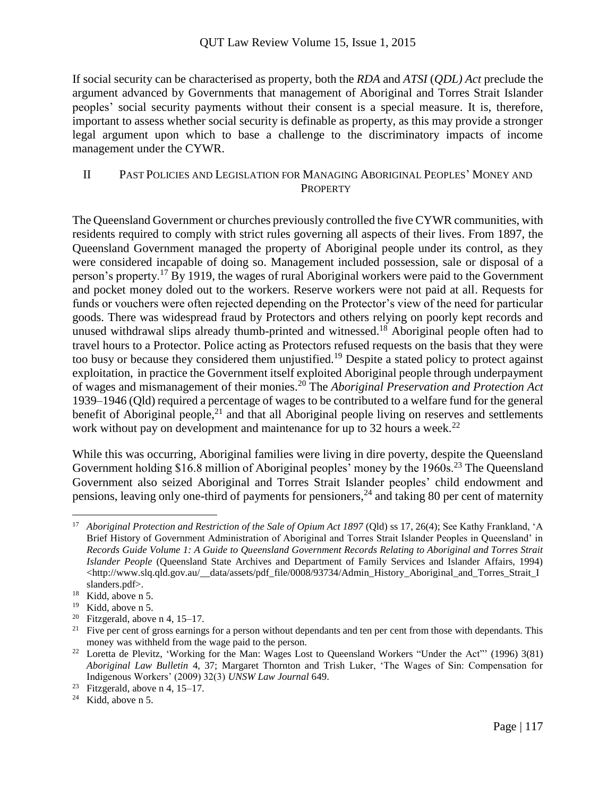If social security can be characterised as property, both the *RDA* and *ATSI* (*QDL) Act* preclude the argument advanced by Governments that management of Aboriginal and Torres Strait Islander peoples' social security payments without their consent is a special measure. It is, therefore, important to assess whether social security is definable as property, as this may provide a stronger legal argument upon which to base a challenge to the discriminatory impacts of income management under the CYWR.

### II PAST POLICIES AND LEGISLATION FOR MANAGING ABORIGINAL PEOPLES' MONEY AND **PROPERTY**

The Queensland Government or churches previously controlled the five CYWR communities, with residents required to comply with strict rules governing all aspects of their lives. From 1897, the Queensland Government managed the property of Aboriginal people under its control, as they were considered incapable of doing so. Management included possession, sale or disposal of a person's property.<sup>17</sup> By 1919, the wages of rural Aboriginal workers were paid to the Government and pocket money doled out to the workers. Reserve workers were not paid at all. Requests for funds or vouchers were often rejected depending on the Protector's view of the need for particular goods. There was widespread fraud by Protectors and others relying on poorly kept records and unused withdrawal slips already thumb-printed and witnessed.<sup>18</sup> Aboriginal people often had to travel hours to a Protector. Police acting as Protectors refused requests on the basis that they were too busy or because they considered them unjustified.<sup>19</sup> Despite a stated policy to protect against exploitation, in practice the Government itself exploited Aboriginal people through underpayment of wages and mismanagement of their monies.<sup>20</sup> The *Aboriginal Preservation and Protection Act* 1939–1946 (Qld) required a percentage of wages to be contributed to a welfare fund for the general benefit of Aboriginal people, $^{21}$  and that all Aboriginal people living on reserves and settlements work without pay on development and maintenance for up to 32 hours a week.<sup>22</sup>

While this was occurring, Aboriginal families were living in dire poverty, despite the Queensland Government holding \$16.8 million of Aboriginal peoples' money by the 1960s.<sup>23</sup> The Queensland Government also seized Aboriginal and Torres Strait Islander peoples' child endowment and pensions, leaving only one-third of payments for pensioners,<sup>24</sup> and taking 80 per cent of maternity

<sup>&</sup>lt;sup>17</sup> Aboriginal Protection and Restriction of the Sale of Opium Act 1897 (Qld) ss 17, 26(4); See Kathy Frankland, 'A Brief History of Government Administration of Aboriginal and Torres Strait Islander Peoples in Queensland' in *Records Guide Volume 1: A Guide to Queensland Government Records Relating to Aboriginal and Torres Strait Islander People* (Queensland State Archives and Department of Family Services and Islander Affairs, 1994)  $\lt$ http://www.slq.qld.gov.au/\_\_data/assets/pdf\_file/0008/93734/Admin\_History\_Aboriginal\_and\_Torres\_Strait\_I slanders.pdf>.

<sup>18</sup> Kidd, above n 5.

<sup>&</sup>lt;sup>19</sup> Kidd, above n 5.

<sup>&</sup>lt;sup>20</sup> Fitzgerald, above n 4, 15–17.

 $21$  Five per cent of gross earnings for a person without dependants and ten per cent from those with dependants. This money was withheld from the wage paid to the person.

<sup>&</sup>lt;sup>22</sup> Loretta de Plevitz, 'Working for the Man: Wages Lost to Queensland Workers "Under the Act"' (1996) 3(81) *Aboriginal Law Bulletin* 4, 37; Margaret Thornton and Trish Luker, 'The Wages of Sin: Compensation for Indigenous Workers' (2009) 32(3) *UNSW Law Journal* 649.

<sup>&</sup>lt;sup>23</sup> Fitzgerald, above n 4, 15–17.

 $24$  Kidd, above n 5.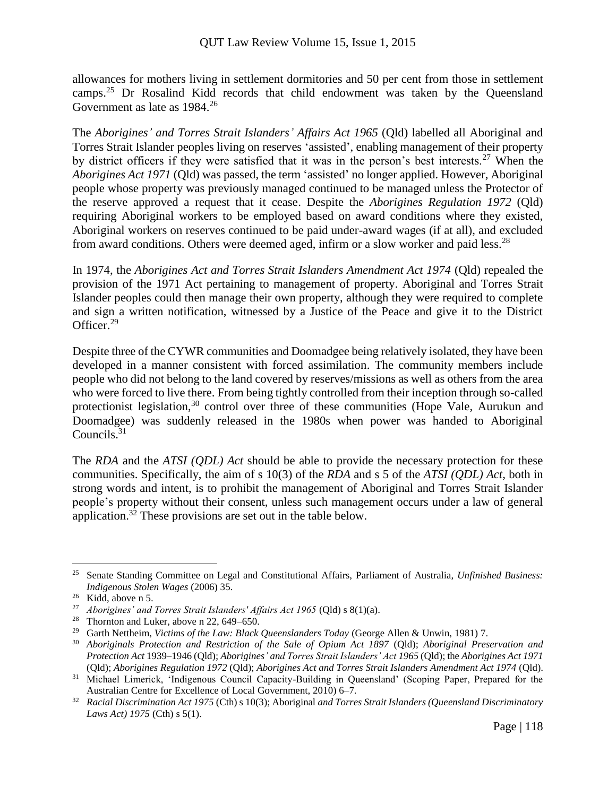allowances for mothers living in settlement dormitories and 50 per cent from those in settlement camps.<sup>25</sup> Dr Rosalind Kidd records that child endowment was taken by the Queensland Government as late as 1984.<sup>26</sup>

The *Aborigines' and Torres Strait Islanders' Affairs Act 1965* (Qld) labelled all Aboriginal and Torres Strait Islander peoples living on reserves 'assisted', enabling management of their property by district officers if they were satisfied that it was in the person's best interests.<sup>27</sup> When the *Aborigines Act 1971* (Qld) was passed, the term 'assisted' no longer applied. However, Aboriginal people whose property was previously managed continued to be managed unless the Protector of the reserve approved a request that it cease. Despite the *Aborigines Regulation 1972* (Qld) requiring Aboriginal workers to be employed based on award conditions where they existed, Aboriginal workers on reserves continued to be paid under-award wages (if at all), and excluded from award conditions. Others were deemed aged, infirm or a slow worker and paid less.<sup>28</sup>

In 1974, the *Aborigines Act and Torres Strait Islanders Amendment Act 1974* (Qld) repealed the provision of the 1971 Act pertaining to management of property. Aboriginal and Torres Strait Islander peoples could then manage their own property, although they were required to complete and sign a written notification, witnessed by a Justice of the Peace and give it to the District Officer.<sup>29</sup>

Despite three of the CYWR communities and Doomadgee being relatively isolated, they have been developed in a manner consistent with forced assimilation. The community members include people who did not belong to the land covered by reserves/missions as well as others from the area who were forced to live there. From being tightly controlled from their inception through so-called protectionist legislation,<sup>30</sup> control over three of these communities (Hope Vale, Aurukun and Doomadgee) was suddenly released in the 1980s when power was handed to Aboriginal Councils.<sup>31</sup>

The *RDA* and the *ATSI (QDL) Act* should be able to provide the necessary protection for these communities. Specifically, the aim of s 10(3) of the *RDA* and s 5 of the *ATSI (QDL) Act*, both in strong words and intent, is to prohibit the management of Aboriginal and Torres Strait Islander people's property without their consent, unless such management occurs under a law of general application.<sup>32</sup> These provisions are set out in the table below.

 $\overline{a}$ <sup>25</sup> Senate Standing Committee on Legal and Constitutional Affairs, Parliament of Australia, *Unfinished Business: Indigenous Stolen Wages* (2006) 35.

 $26$  Kidd, above n 5.

<sup>&</sup>lt;sup>27</sup> *Aborigines' and Torres Strait Islanders' Affairs Act 1965* (Qld) s 8(1)(a).<br><sup>28</sup> Thornton and Luker above n 22 649–650

<sup>&</sup>lt;sup>28</sup> Thornton and Luker, above n 22, 649–650.<br><sup>29</sup> Garth Nettheim *Victims of the Law: Black* 

<sup>29</sup> Garth Nettheim, *Victims of the Law: Black Queenslanders Today* (George Allen & Unwin, 1981) 7.

<sup>30</sup> *Aboriginals Protection and Restriction of the Sale of Opium Act 1897* (Qld); *Aboriginal Preservation and Protection Act* 1939–1946 (Qld); *Aborigines' and Torres Strait Islanders' Act 1965* (Qld); the *Aborigines Act 1971* (Qld); *Aborigines Regulation 1972* (Qld); *Aborigines Act and Torres Strait Islanders Amendment Act 1974* (Qld).

<sup>&</sup>lt;sup>31</sup> Michael Limerick, 'Indigenous Council Capacity-Building in Queensland' (Scoping Paper, Prepared for the Australian Centre for Excellence of Local Government, 2010) 6–7.

<sup>32</sup> *Racial Discrimination Act 1975* (Cth) s 10(3); Aboriginal *and Torres Strait Islanders (Queensland Discriminatory Laws Act) 1975* (Cth) s 5(1).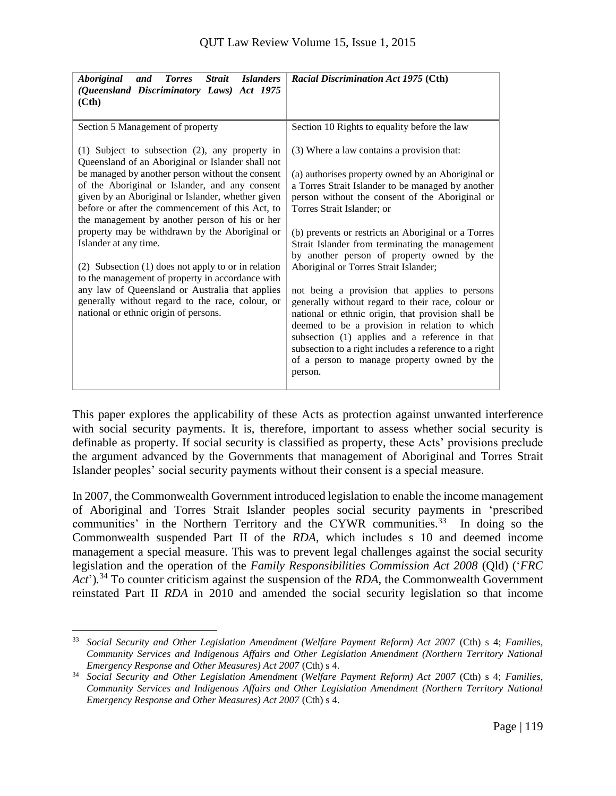| <i><b>Strait</b></i><br><i><b>Aboriginal</b></i><br><b>Torres</b><br><b>Islanders</b><br>and<br>(Queensland Discriminatory Laws) Act 1975<br>(Ch)                                                                                                                                                                                                                                                                                                                                                                                                                                                                                                 | <b>Racial Discrimination Act 1975 (Cth)</b>                                                                                                                                                                                                                                                                                                                                                                                                                                                                                             |
|---------------------------------------------------------------------------------------------------------------------------------------------------------------------------------------------------------------------------------------------------------------------------------------------------------------------------------------------------------------------------------------------------------------------------------------------------------------------------------------------------------------------------------------------------------------------------------------------------------------------------------------------------|-----------------------------------------------------------------------------------------------------------------------------------------------------------------------------------------------------------------------------------------------------------------------------------------------------------------------------------------------------------------------------------------------------------------------------------------------------------------------------------------------------------------------------------------|
| Section 5 Management of property<br>(1) Subject to subsection (2), any property in<br>Queensland of an Aboriginal or Islander shall not<br>be managed by another person without the consent<br>of the Aboriginal or Islander, and any consent<br>given by an Aboriginal or Islander, whether given<br>before or after the commencement of this Act, to<br>the management by another person of his or her<br>property may be withdrawn by the Aboriginal or<br>Islander at any time.<br>(2) Subsection (1) does not apply to or in relation<br>to the management of property in accordance with<br>any law of Queensland or Australia that applies | Section 10 Rights to equality before the law<br>(3) Where a law contains a provision that:<br>(a) authorises property owned by an Aboriginal or<br>a Torres Strait Islander to be managed by another<br>person without the consent of the Aboriginal or<br>Torres Strait Islander; or<br>(b) prevents or restricts an Aboriginal or a Torres<br>Strait Islander from terminating the management<br>by another person of property owned by the<br>Aboriginal or Torres Strait Islander;<br>not being a provision that applies to persons |
| generally without regard to the race, colour, or<br>national or ethnic origin of persons.                                                                                                                                                                                                                                                                                                                                                                                                                                                                                                                                                         | generally without regard to their race, colour or<br>national or ethnic origin, that provision shall be<br>deemed to be a provision in relation to which<br>subsection (1) applies and a reference in that<br>subsection to a right includes a reference to a right<br>of a person to manage property owned by the<br>person.                                                                                                                                                                                                           |

This paper explores the applicability of these Acts as protection against unwanted interference with social security payments. It is, therefore, important to assess whether social security is definable as property. If social security is classified as property, these Acts' provisions preclude the argument advanced by the Governments that management of Aboriginal and Torres Strait Islander peoples' social security payments without their consent is a special measure.

In 2007, the Commonwealth Government introduced legislation to enable the income management of Aboriginal and Torres Strait Islander peoples social security payments in 'prescribed communities' in the Northern Territory and the CYWR communities.<sup>33</sup> In doing so the Commonwealth suspended Part II of the *RDA*, which includes s 10 and deemed income management a special measure. This was to prevent legal challenges against the social security legislation and the operation of the *Family Responsibilities Commission Act 2008* (Qld) ('*FRC Act*')*.* <sup>34</sup> To counter criticism against the suspension of the *RDA*, the Commonwealth Government reinstated Part II *RDA* in 2010 and amended the social security legislation so that income

 $\overline{a}$ <sup>33</sup> *Social Security and Other Legislation Amendment (Welfare Payment Reform) Act 2007* (Cth) s 4; *Families, Community Services and Indigenous Affairs and Other Legislation Amendment (Northern Territory National Emergency Response and Other Measures) Act 2007* (Cth) s 4.

<sup>34</sup> *Social Security and Other Legislation Amendment (Welfare Payment Reform) Act 2007* (Cth) s 4; *Families, Community Services and Indigenous Affairs and Other Legislation Amendment (Northern Territory National Emergency Response and Other Measures) Act 2007* (Cth) s 4.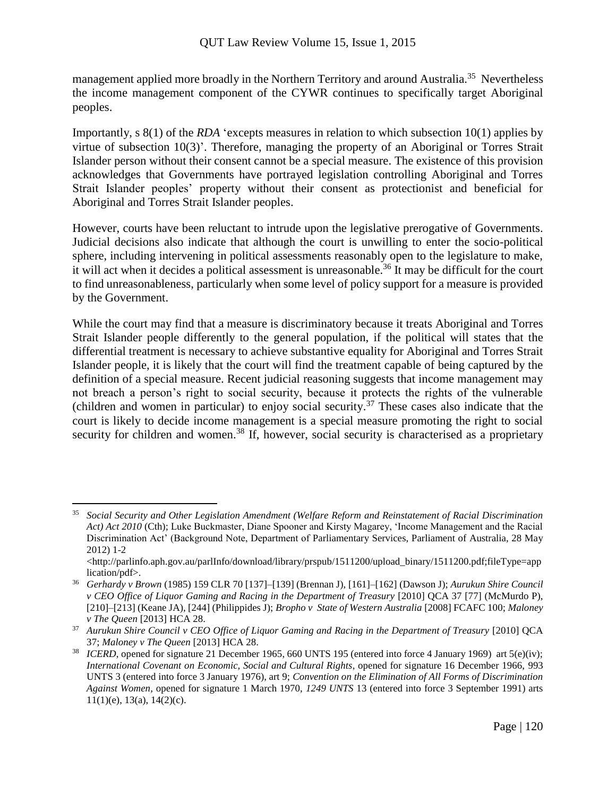management applied more broadly in the Northern Territory and around Australia.<sup>35</sup> Nevertheless the income management component of the CYWR continues to specifically target Aboriginal peoples.

Importantly, s 8(1) of the *RDA* 'excepts measures in relation to which subsection 10(1) applies by virtue of subsection 10(3)'. Therefore, managing the property of an Aboriginal or Torres Strait Islander person without their consent cannot be a special measure. The existence of this provision acknowledges that Governments have portrayed legislation controlling Aboriginal and Torres Strait Islander peoples' property without their consent as protectionist and beneficial for Aboriginal and Torres Strait Islander peoples.

However, courts have been reluctant to intrude upon the legislative prerogative of Governments. Judicial decisions also indicate that although the court is unwilling to enter the socio-political sphere, including intervening in political assessments reasonably open to the legislature to make, it will act when it decides a political assessment is unreasonable.<sup>36</sup> It may be difficult for the court to find unreasonableness, particularly when some level of policy support for a measure is provided by the Government.

While the court may find that a measure is discriminatory because it treats Aboriginal and Torres Strait Islander people differently to the general population, if the political will states that the differential treatment is necessary to achieve substantive equality for Aboriginal and Torres Strait Islander people, it is likely that the court will find the treatment capable of being captured by the definition of a special measure. Recent judicial reasoning suggests that income management may not breach a person's right to social security, because it protects the rights of the vulnerable (children and women in particular) to enjoy social security. <sup>37</sup> These cases also indicate that the court is likely to decide income management is a special measure promoting the right to social security for children and women.<sup>38</sup> If, however, social security is characterised as a proprietary

<sup>35</sup> *Social Security and Other Legislation Amendment (Welfare Reform and Reinstatement of Racial Discrimination Act) Act 2010* (Cth); Luke Buckmaster, Diane Spooner and Kirsty Magarey, 'Income Management and the Racial Discrimination Act' (Background Note, Department of Parliamentary Services, Parliament of Australia, 28 May 2012) 1-2

<sup>&</sup>lt;http://parlinfo.aph.gov.au/parlInfo/download/library/prspub/1511200/upload\_binary/1511200.pdf;fileType=app lication/pdf>.

<sup>36</sup> *Gerhardy v Brown* (1985) 159 CLR 70 [137]–[139] (Brennan J), [161]–[162] (Dawson J); *Aurukun Shire Council v CEO Office of Liquor Gaming and Racing in the Department of Treasury* [2010] QCA 37 [77] (McMurdo P), [210]–[213] (Keane JA), [244] (Philippides J); *Bropho v State of Western Australia* [2008] FCAFC 100; *Maloney v The Queen* [2013] HCA 28.

<sup>37</sup> *Aurukun Shire Council v CEO Office of Liquor Gaming and Racing in the Department of Treasury* [2010] QCA 37; *Maloney v The Queen* [2013] HCA 28.

<sup>&</sup>lt;sup>38</sup> *ICERD*, opened for signature 21 December 1965, 660 UNTS 195 (entered into force 4 January 1969) art  $5(e)(iv)$ ; *International Covenant on Economic, Social and Cultural Rights*, opened for signature 16 December 1966, 993 UNTS 3 (entered into force 3 January 1976), art 9; *Convention on the Elimination of All Forms of Discrimination Against Women,* opened for signature 1 March 1970, *1249 UNTS* 13 (entered into force 3 September 1991) arts  $11(1)(e)$ ,  $13(a)$ ,  $14(2)(c)$ .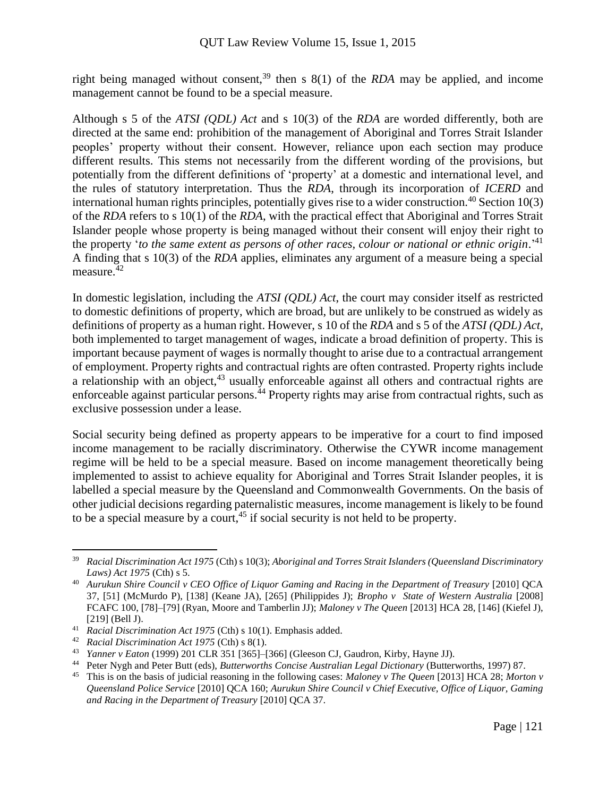right being managed without consent,<sup>39</sup> then s  $8(1)$  of the *RDA* may be applied, and income management cannot be found to be a special measure.

Although s 5 of the *ATSI (QDL) Act* and s 10(3) of the *RDA* are worded differently, both are directed at the same end: prohibition of the management of Aboriginal and Torres Strait Islander peoples' property without their consent. However, reliance upon each section may produce different results. This stems not necessarily from the different wording of the provisions, but potentially from the different definitions of 'property' at a domestic and international level, and the rules of statutory interpretation. Thus the *RDA*, through its incorporation of *ICERD* and international human rights principles, potentially gives rise to a wider construction.<sup>40</sup> Section 10(3) of the *RDA* refers to s 10(1) of the *RDA*, with the practical effect that Aboriginal and Torres Strait Islander people whose property is being managed without their consent will enjoy their right to the property 'to the same extent as persons of other races, colour or national or ethnic origin.<sup>241</sup> A finding that s 10(3) of the *RDA* applies, eliminates any argument of a measure being a special measure. $42$ 

In domestic legislation, including the *ATSI (QDL) Act*, the court may consider itself as restricted to domestic definitions of property, which are broad, but are unlikely to be construed as widely as definitions of property as a human right. However, s 10 of the *RDA* and s 5 of the *ATSI (QDL) Act,* both implemented to target management of wages, indicate a broad definition of property. This is important because payment of wages is normally thought to arise due to a contractual arrangement of employment. Property rights and contractual rights are often contrasted. Property rights include a relationship with an object, $43$  usually enforceable against all others and contractual rights are enforceable against particular persons.<sup>44</sup> Property rights may arise from contractual rights, such as exclusive possession under a lease.

Social security being defined as property appears to be imperative for a court to find imposed income management to be racially discriminatory. Otherwise the CYWR income management regime will be held to be a special measure. Based on income management theoretically being implemented to assist to achieve equality for Aboriginal and Torres Strait Islander peoples, it is labelled a special measure by the Queensland and Commonwealth Governments. On the basis of other judicial decisions regarding paternalistic measures, income management is likely to be found to be a special measure by a court, <sup>45</sup> if social security is not held to be property.

<sup>39</sup> *Racial Discrimination Act 1975* (Cth) s 10(3); *Aboriginal and Torres Strait Islanders (Queensland Discriminatory Laws) Act 1975* (Cth) s 5.

<sup>40</sup> *Aurukun Shire Council v CEO Office of Liquor Gaming and Racing in the Department of Treasury* [2010] QCA 37, [51] (McMurdo P), [138] (Keane JA), [265] (Philippides J); *Bropho v State of Western Australia* [2008] FCAFC 100, [78]–[79] (Ryan, Moore and Tamberlin JJ); *Maloney v The Queen* [2013] HCA 28, [146] (Kiefel J), [219] (Bell J).

<sup>41</sup> *Racial Discrimination Act 1975* (Cth) s 10(1). Emphasis added.

<sup>42</sup> *Racial Discrimination Act 1975* (Cth) s 8(1).

<sup>43</sup> *Yanner v Eaton* (1999) 201 CLR 351 [365]–[366] (Gleeson CJ, Gaudron, Kirby, Hayne JJ).

<sup>44</sup> Peter Nygh and Peter Butt (eds), *Butterworths Concise Australian Legal Dictionary* (Butterworths, 1997) 87.

<sup>45</sup> This is on the basis of judicial reasoning in the following cases: *Maloney v The Queen* [2013] HCA 28; *Morton v Queensland Police Service* [2010] QCA 160; *Aurukun Shire Council v Chief Executive, Office of Liquor, Gaming and Racing in the Department of Treasury* [2010] QCA 37.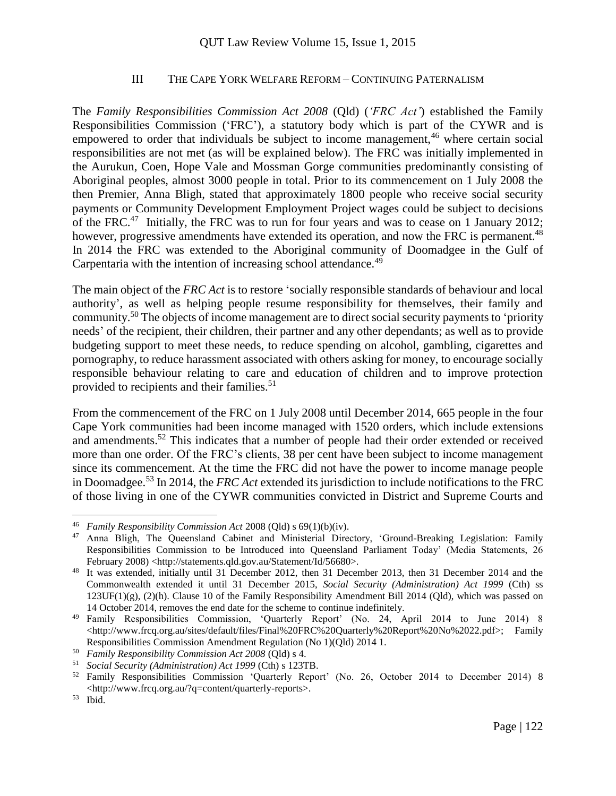#### III THE CAPE YORK WELFARE REFORM – CONTINUING PATERNALISM

The *Family Responsibilities Commission Act 2008* (Qld) (*'FRC Act'*) established the Family Responsibilities Commission ('FRC'), a statutory body which is part of the CYWR and is empowered to order that individuals be subject to income management,  $46$  where certain social responsibilities are not met (as will be explained below). The FRC was initially implemented in the Aurukun, Coen, Hope Vale and Mossman Gorge communities predominantly consisting of Aboriginal peoples, almost 3000 people in total. Prior to its commencement on 1 July 2008 the then Premier, Anna Bligh, stated that approximately 1800 people who receive social security payments or Community Development Employment Project wages could be subject to decisions of the FRC.<sup>47</sup> Initially, the FRC was to run for four years and was to cease on 1 January 2012; however, progressive amendments have extended its operation, and now the FRC is permanent.<sup>48</sup> In 2014 the FRC was extended to the Aboriginal community of Doomadgee in the Gulf of Carpentaria with the intention of increasing school attendance.<sup>49</sup>

The main object of the *FRC Act* is to restore 'socially responsible standards of behaviour and local authority', as well as helping people resume responsibility for themselves, their family and community.<sup>50</sup> The objects of income management are to direct social security payments to 'priority needs' of the recipient, their children, their partner and any other dependants; as well as to provide budgeting support to meet these needs, to reduce spending on alcohol, gambling, cigarettes and pornography, to reduce harassment associated with others asking for money, to encourage socially responsible behaviour relating to care and education of children and to improve protection provided to recipients and their families.<sup>51</sup>

From the commencement of the FRC on 1 July 2008 until December 2014, 665 people in the four Cape York communities had been income managed with 1520 orders, which include extensions and amendments.<sup>52</sup> This indicates that a number of people had their order extended or received more than one order. Of the FRC's clients, 38 per cent have been subject to income management since its commencement. At the time the FRC did not have the power to income manage people in Doomadgee.<sup>53</sup> In 2014, the *FRC Act* extended its jurisdiction to include notifications to the FRC of those living in one of the CYWR communities convicted in District and Supreme Courts and

<sup>46</sup> *Family Responsibility Commission Act* 2008 (Qld) s 69(1)(b)(iv).

<sup>47</sup> Anna Bligh, The Queensland Cabinet and Ministerial Directory, 'Ground-Breaking Legislation: Family Responsibilities Commission to be Introduced into Queensland Parliament Today' (Media Statements, 26 February 2008) <http://statements.qld.gov.au/Statement/Id/56680>.

<sup>&</sup>lt;sup>48</sup> It was extended, initially until 31 December 2012, then 31 December 2013, then 31 December 2014 and the Commonwealth extended it until 31 December 2015, *Social Security (Administration) Act 1999* (Cth) ss 123UF(1)(g), (2)(h). Clause 10 of the Family Responsibility Amendment Bill 2014 (Qld), which was passed on 14 October 2014, removes the end date for the scheme to continue indefinitely.

<sup>49</sup> Family Responsibilities Commission, 'Quarterly Report' (No. 24, April 2014 to June 2014) 8 <http://www.frcq.org.au/sites/default/files/Final%20FRC%20Quarterly%20Report%20No%2022.pdf>; Family Responsibilities Commission Amendment Regulation (No 1)(Qld) 2014 1.

<sup>50</sup> *Family Responsibility Commission Act 2008* (Qld) s 4.

<sup>51</sup> *Social Security (Administration) Act 1999* (Cth) s 123TB.

<sup>52</sup> Family Responsibilities Commission 'Quarterly Report' (No. 26, October 2014 to December 2014) 8 <http://www.frcq.org.au/?q=content/quarterly-reports>.

<sup>53</sup> Ibid.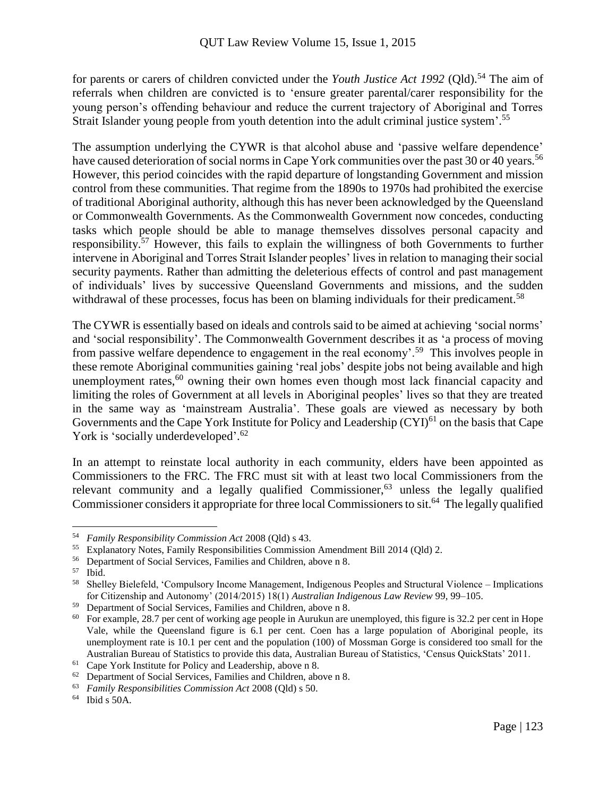for parents or carers of children convicted under the *Youth Justice Act 1992* (Old).<sup>54</sup> The aim of referrals when children are convicted is to 'ensure greater parental/carer responsibility for the young person's offending behaviour and reduce the current trajectory of Aboriginal and Torres Strait Islander young people from youth detention into the adult criminal justice system'.<sup>55</sup>

The assumption underlying the CYWR is that alcohol abuse and 'passive welfare dependence' have caused deterioration of social norms in Cape York communities over the past 30 or 40 years.<sup>56</sup> However, this period coincides with the rapid departure of longstanding Government and mission control from these communities. That regime from the 1890s to 1970s had prohibited the exercise of traditional Aboriginal authority, although this has never been acknowledged by the Queensland or Commonwealth Governments. As the Commonwealth Government now concedes, conducting tasks which people should be able to manage themselves dissolves personal capacity and responsibility.<sup>57</sup> However, this fails to explain the willingness of both Governments to further intervene in Aboriginal and Torres Strait Islander peoples' lives in relation to managing their social security payments. Rather than admitting the deleterious effects of control and past management of individuals' lives by successive Queensland Governments and missions, and the sudden withdrawal of these processes, focus has been on blaming individuals for their predicament.<sup>58</sup>

The CYWR is essentially based on ideals and controls said to be aimed at achieving 'social norms' and 'social responsibility'. The Commonwealth Government describes it as 'a process of moving from passive welfare dependence to engagement in the real economy'.<sup>59</sup> This involves people in these remote Aboriginal communities gaining 'real jobs' despite jobs not being available and high unemployment rates,<sup>60</sup> owning their own homes even though most lack financial capacity and limiting the roles of Government at all levels in Aboriginal peoples' lives so that they are treated in the same way as 'mainstream Australia'. These goals are viewed as necessary by both Governments and the Cape York Institute for Policy and Leadership  $(CYI)^{61}$  on the basis that Cape York is 'socially underdeveloped'.<sup>62</sup>

In an attempt to reinstate local authority in each community, elders have been appointed as Commissioners to the FRC. The FRC must sit with at least two local Commissioners from the relevant community and a legally qualified Commissioner, $63$  unless the legally qualified Commissioner considers it appropriate for three local Commissioners to sit.<sup>64</sup> The legally qualified

<sup>54</sup> *Family Responsibility Commission Act* 2008 (Qld) s 43.

<sup>&</sup>lt;sup>55</sup> Explanatory Notes, Family Responsibilities Commission Amendment Bill 2014 (Qld) 2.<br><sup>56</sup> Department of Social Services Families and Children, above n 8

<sup>56</sup> Department of Social Services, Families and Children, above n 8.

<sup>57</sup> Ibid.

<sup>58</sup> Shelley Bielefeld, 'Compulsory Income Management, Indigenous Peoples and Structural Violence – Implications for Citizenship and Autonomy' (2014/2015) 18(1) *Australian Indigenous Law Review* 99, 99–105.

<sup>59</sup> Department of Social Services, Families and Children, above n 8.

<sup>&</sup>lt;sup>60</sup> For example, 28.7 per cent of working age people in Aurukun are unemployed, this figure is 32.2 per cent in Hope Vale, while the Queensland figure is 6.1 per cent. Coen has a large population of Aboriginal people, its unemployment rate is 10.1 per cent and the population (100) of Mossman Gorge is considered too small for the Australian Bureau of Statistics to provide this data, Australian Bureau of Statistics, 'Census QuickStats' 2011.

<sup>61</sup> Cape York Institute for Policy and Leadership, above n 8.

<sup>62</sup> Department of Social Services, Families and Children, above n 8.

<sup>63</sup> *Family Responsibilities Commission Act* 2008 (Qld) s 50.

<sup>64</sup> Ibid s 50A.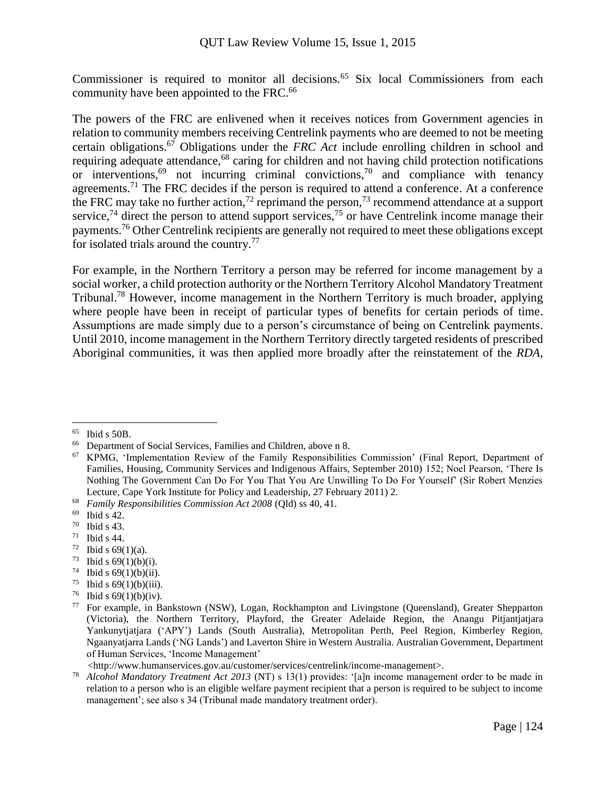Commissioner is required to monitor all decisions.<sup>65</sup> Six local Commissioners from each community have been appointed to the FRC.<sup>66</sup>

The powers of the FRC are enlivened when it receives notices from Government agencies in relation to community members receiving Centrelink payments who are deemed to not be meeting certain obligations.<sup>67</sup> Obligations under the *FRC Act* include enrolling children in school and requiring adequate attendance,<sup>68</sup> caring for children and not having child protection notifications or interventions,<sup>69</sup> not incurring criminal convictions,<sup>70</sup> and compliance with tenancy agreements.<sup>71</sup> The FRC decides if the person is required to attend a conference. At a conference the FRC may take no further action,<sup>72</sup> reprimand the person,<sup>73</sup> recommend attendance at a support service,<sup>74</sup> direct the person to attend support services,<sup>75</sup> or have Centrelink income manage their payments.<sup>76</sup> Other Centrelink recipients are generally not required to meet these obligations except for isolated trials around the country.<sup>77</sup>

For example, in the Northern Territory a person may be referred for income management by a social worker, a child protection authority or the Northern Territory Alcohol Mandatory Treatment Tribunal.<sup>78</sup> However, income management in the Northern Territory is much broader, applying where people have been in receipt of particular types of benefits for certain periods of time. Assumptions are made simply due to a person's circumstance of being on Centrelink payments. Until 2010, income management in the Northern Territory directly targeted residents of prescribed Aboriginal communities, it was then applied more broadly after the reinstatement of the *RDA*,

- <sup>71</sup> Ibid s 44.
- <sup>72</sup> Ibid s 69(1)(a)*.*
- <sup>73</sup> Ibid s 69(1)(b)(i)*.*
- <sup>74</sup> Ibid s 69(1)(b)(ii)*.*
- <sup>75</sup> Ibid s  $69(1)(b)(iii)$ .
- <sup>76</sup> Ibid s 69(1)(b)(iv)*.*

 $\overline{a}$ <sup>65</sup> Ibid s 50B.

<sup>66</sup> Department of Social Services, Families and Children, above n 8.

<sup>67</sup> KPMG, 'Implementation Review of the Family Responsibilities Commission' (Final Report, Department of Families, Housing, Community Services and Indigenous Affairs, September 2010) 152; Noel Pearson, 'There Is Nothing The Government Can Do For You That You Are Unwilling To Do For Yourself' (Sir Robert Menzies Lecture, Cape York Institute for Policy and Leadership, 27 February 2011) 2.

<sup>68</sup> *Family Responsibilities Commission Act 2008* (Qld) ss 40, 41.

 $^{69}$  Ibid s 42.<br>
<sup>70</sup> Ibid s 43

Ibid s 43.

<sup>77</sup> For example, in Bankstown (NSW), Logan, Rockhampton and Livingstone (Queensland), Greater Shepparton (Victoria), the Northern Territory, Playford, the Greater Adelaide Region, the Anangu Pitjantjatjara Yankunytjatjara ('APY') Lands (South Australia), Metropolitan Perth, Peel Region, Kimberley Region, Ngaanyatjarra Lands ('NG Lands') and Laverton Shire in Western Australia. Australian Government, Department of Human Services, 'Income Management'

 <sup>&</sup>lt;http://www.humanservices.gov.au/customer/services/centrelink/income-management>.

<sup>78</sup> *Alcohol Mandatory Treatment Act 2013* (NT) s 13(1) provides: '[a]n income management order to be made in relation to a person who is an eligible welfare payment recipient that a person is required to be subject to income management'; see also s 34 (Tribunal made mandatory treatment order).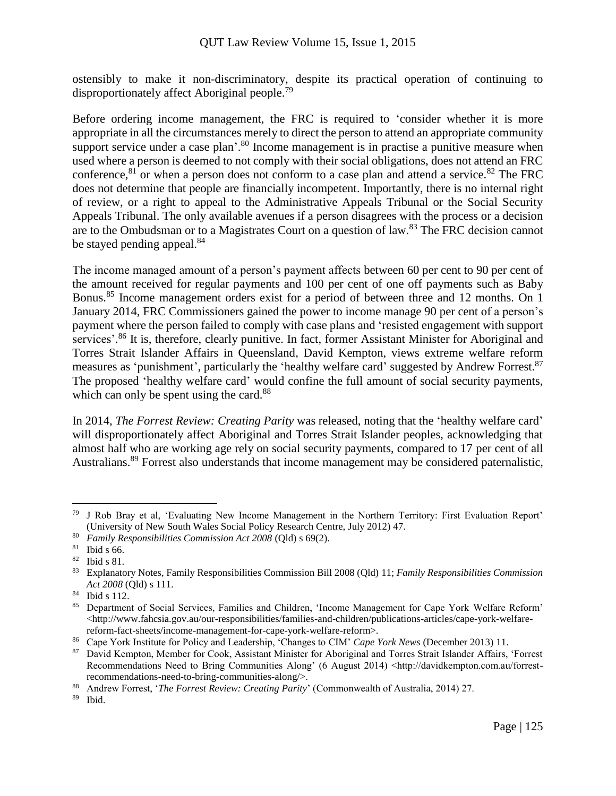ostensibly to make it non-discriminatory, despite its practical operation of continuing to disproportionately affect Aboriginal people.<sup>79</sup>

Before ordering income management, the FRC is required to 'consider whether it is more appropriate in all the circumstances merely to direct the person to attend an appropriate community support service under a case plan'.<sup>80</sup> Income management is in practise a punitive measure when used where a person is deemed to not comply with their social obligations, does not attend an FRC conference,  $81$  or when a person does not conform to a case plan and attend a service.  $82$  The FRC does not determine that people are financially incompetent. Importantly, there is no internal right of review, or a right to appeal to the Administrative Appeals Tribunal or the Social Security Appeals Tribunal. The only available avenues if a person disagrees with the process or a decision are to the Ombudsman or to a Magistrates Court on a question of law.<sup>83</sup> The FRC decision cannot be stayed pending appeal.<sup>84</sup>

The income managed amount of a person's payment affects between 60 per cent to 90 per cent of the amount received for regular payments and 100 per cent of one off payments such as Baby Bonus.<sup>85</sup> Income management orders exist for a period of between three and 12 months. On 1 January 2014, FRC Commissioners gained the power to income manage 90 per cent of a person's payment where the person failed to comply with case plans and 'resisted engagement with support services'.<sup>86</sup> It is, therefore, clearly punitive. In fact, former Assistant Minister for Aboriginal and Torres Strait Islander Affairs in Queensland, David Kempton, views extreme welfare reform measures as 'punishment', particularly the 'healthy welfare card' suggested by Andrew Forrest.<sup>87</sup> The proposed 'healthy welfare card' would confine the full amount of social security payments, which can only be spent using the card.<sup>88</sup>

In 2014, *The Forrest Review: Creating Parity* was released, noting that the 'healthy welfare card' will disproportionately affect Aboriginal and Torres Strait Islander peoples, acknowledging that almost half who are working age rely on social security payments, compared to 17 per cent of all Australians.<sup>89</sup> Forrest also understands that income management may be considered paternalistic,

<sup>79</sup> J Rob Bray et al, 'Evaluating New Income Management in the Northern Territory: First Evaluation Report' (University of New South Wales Social Policy Research Centre, July 2012) 47.

<sup>80</sup> *Family Responsibilities Commission Act 2008* (Qld) s 69(2).

<sup>81</sup> Ibid s 66.

<sup>82</sup> Ibid s 81.

<sup>83</sup> Explanatory Notes, Family Responsibilities Commission Bill 2008 (Qld) 11; *Family Responsibilities Commission Act 2008* (Qld) s 111.

<sup>84</sup> Ibid s 112.

<sup>85</sup> Department of Social Services, Families and Children, 'Income Management for Cape York Welfare Reform'  $\langle$ http://www.fahcsia.gov.au/our-responsibilities/families-and-children/publications-articles/cape-york-welfarereform-fact-sheets/income-management-for-cape-york-welfare-reform>.

<sup>86</sup> Cape York Institute for Policy and Leadership, 'Changes to CIM' *Cape York News* (December 2013) 11.

<sup>87</sup> David Kempton, Member for Cook, Assistant Minister for Aboriginal and Torres Strait Islander Affairs, 'Forrest Recommendations Need to Bring Communities Along' (6 August 2014) <http://davidkempton.com.au/forrestrecommendations-need-to-bring-communities-along/>.

<sup>88</sup> Andrew Forrest, '*The Forrest Review: Creating Parity*' (Commonwealth of Australia, 2014) 27.

Ibid.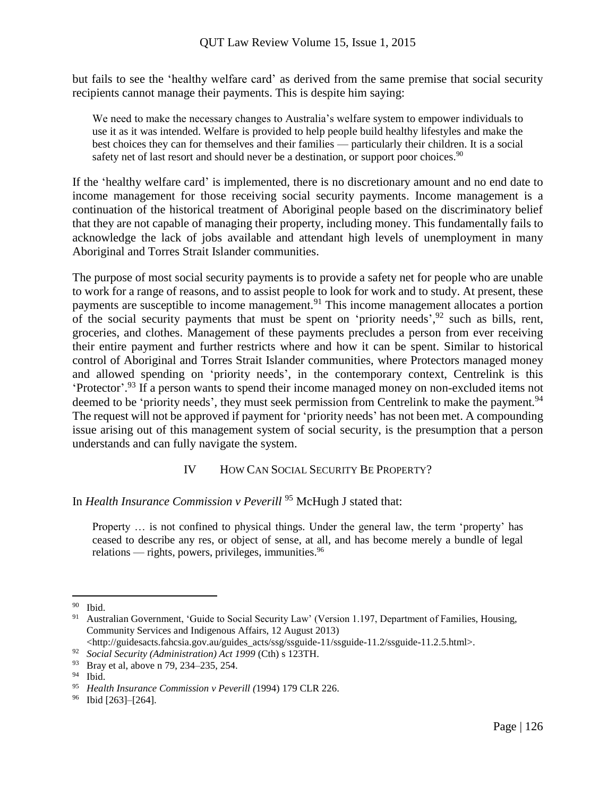but fails to see the 'healthy welfare card' as derived from the same premise that social security recipients cannot manage their payments. This is despite him saying:

We need to make the necessary changes to Australia's welfare system to empower individuals to use it as it was intended. Welfare is provided to help people build healthy lifestyles and make the best choices they can for themselves and their families — particularly their children. It is a social safety net of last resort and should never be a destination, or support poor choices.<sup>90</sup>

If the 'healthy welfare card' is implemented, there is no discretionary amount and no end date to income management for those receiving social security payments. Income management is a continuation of the historical treatment of Aboriginal people based on the discriminatory belief that they are not capable of managing their property, including money. This fundamentally fails to acknowledge the lack of jobs available and attendant high levels of unemployment in many Aboriginal and Torres Strait Islander communities.

The purpose of most social security payments is to provide a safety net for people who are unable to work for a range of reasons, and to assist people to look for work and to study. At present, these payments are susceptible to income management.<sup>91</sup> This income management allocates a portion of the social security payments that must be spent on 'priority needs',  $92$  such as bills, rent, groceries, and clothes. Management of these payments precludes a person from ever receiving their entire payment and further restricts where and how it can be spent. Similar to historical control of Aboriginal and Torres Strait Islander communities, where Protectors managed money and allowed spending on 'priority needs', in the contemporary context, Centrelink is this 'Protector'. <sup>93</sup> If a person wants to spend their income managed money on non-excluded items not deemed to be 'priority needs', they must seek permission from Centrelink to make the payment.<sup>94</sup> The request will not be approved if payment for 'priority needs' has not been met. A compounding issue arising out of this management system of social security, is the presumption that a person understands and can fully navigate the system.

# IV HOW CAN SOCIAL SECURITY BE PROPERTY?

In *Health Insurance Commission v Peverill* <sup>95</sup> McHugh J stated that:

Property … is not confined to physical things. Under the general law, the term 'property' has ceased to describe any res, or object of sense, at all, and has become merely a bundle of legal relations — rights, powers, privileges, immunities.<sup>96</sup>

<sup>90</sup> Ibid.

<sup>&</sup>lt;sup>91</sup> Australian Government, 'Guide to Social Security Law' (Version 1.197, Department of Families, Housing, Community Services and Indigenous Affairs, 12 August 2013)

<sup>&</sup>lt;http://guidesacts.fahcsia.gov.au/guides\_acts/ssg/ssguide-11/ssguide-11.2/ssguide-11.2.5.html>.

<sup>92</sup> *Social Security (Administration) Act 1999* (Cth) s 123TH.

<sup>93</sup> Bray et al, above n 79, 234–235, 254.

<sup>94</sup> Ibid.

<sup>95</sup> *Health Insurance Commission v Peverill (*1994) 179 CLR 226.

<sup>96</sup> Ibid [263]–[264].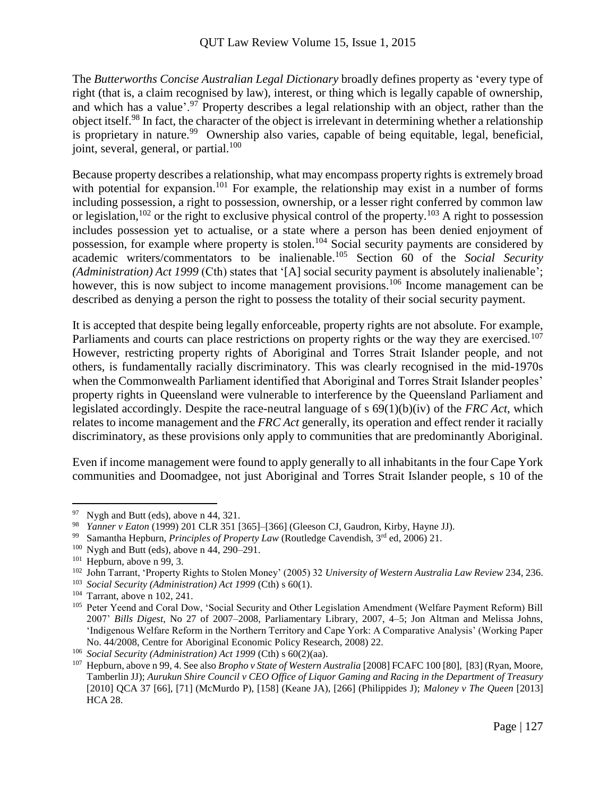The *Butterworths Concise Australian Legal Dictionary* broadly defines property as 'every type of right (that is, a claim recognised by law), interest, or thing which is legally capable of ownership, and which has a value'.<sup>97</sup> Property describes a legal relationship with an object, rather than the object itself.<sup>98</sup> In fact, the character of the object is irrelevant in determining whether a relationship is proprietary in nature.<sup>99</sup> Ownership also varies, capable of being equitable, legal, beneficial, joint, several, general, or partial.<sup>100</sup>

Because property describes a relationship, what may encompass property rights is extremely broad with potential for expansion.<sup>101</sup> For example, the relationship may exist in a number of forms including possession, a right to possession, ownership, or a lesser right conferred by common law or legislation,<sup>102</sup> or the right to exclusive physical control of the property.<sup>103</sup> A right to possession includes possession yet to actualise, or a state where a person has been denied enjoyment of possession, for example where property is stolen.<sup>104</sup> Social security payments are considered by academic writers/commentators to be inalienable.<sup>105</sup> Section 60 of the *Social Security (Administration) Act 1999* (Cth) states that '[A] social security payment is absolutely inalienable'; however, this is now subject to income management provisions.<sup>106</sup> Income management can be described as denying a person the right to possess the totality of their social security payment.

It is accepted that despite being legally enforceable, property rights are not absolute. For example, Parliaments and courts can place restrictions on property rights or the way they are exercised.<sup>107</sup> However, restricting property rights of Aboriginal and Torres Strait Islander people, and not others, is fundamentally racially discriminatory. This was clearly recognised in the mid-1970s when the Commonwealth Parliament identified that Aboriginal and Torres Strait Islander peoples' property rights in Queensland were vulnerable to interference by the Queensland Parliament and legislated accordingly. Despite the race-neutral language of s 69(1)(b)(iv) of the *FRC Act*, which relates to income management and the *FRC Act* generally, its operation and effect render it racially discriminatory, as these provisions only apply to communities that are predominantly Aboriginal.

Even if income management were found to apply generally to all inhabitants in the four Cape York communities and Doomadgee, not just Aboriginal and Torres Strait Islander people, s 10 of the

<sup>&</sup>lt;sup>97</sup> Nygh and Butt (eds), above n 44, 321.<br><sup>98</sup> *Yanner y Eaton* (1999) 201 CLR 351 L<sup>98</sup>

<sup>98</sup> *Yanner v Eaton* (1999) 201 CLR 351 [365]–[366] (Gleeson CJ, Gaudron, Kirby, Hayne JJ).

<sup>99</sup> Samantha Hepburn, *Principles of Property Law* (Routledge Cavendish, 3rd ed, 2006) 21.

<sup>100</sup> Nygh and Butt (eds), above n 44, 290–291.

<sup>101</sup> Hepburn, above n 99, 3.

<sup>102</sup> John Tarrant, 'Property Rights to Stolen Money' (2005) 32 *University of Western Australia Law Review* 234, 236.

<sup>103</sup> *Social Security (Administration) Act 1999* (Cth) s 60(1).

<sup>104</sup> Tarrant, above n 102, 241.

<sup>105</sup> Peter Yeend and Coral Dow, 'Social Security and Other Legislation Amendment (Welfare Payment Reform) Bill 2007' *Bills Digest*, No 27 of 2007–2008, Parliamentary Library, 2007, 4–5; Jon Altman and Melissa Johns, 'Indigenous Welfare Reform in the Northern Territory and Cape York: A Comparative Analysis' (Working Paper No. 44/2008, Centre for Aboriginal Economic Policy Research, 2008) 22.

<sup>106</sup> *Social Security (Administration) Act 1999* (Cth) s 60(2)(aa).

<sup>107</sup> Hepburn, above n 99, 4. See also *Bropho v State of Western Australia* [2008] FCAFC 100 [80], [83] (Ryan, Moore, Tamberlin JJ); *Aurukun Shire Council v CEO Office of Liquor Gaming and Racing in the Department of Treasury* [2010] QCA 37 [66], [71] (McMurdo P), [158] (Keane JA), [266] (Philippides J); *Maloney v The Queen* [2013] HCA 28.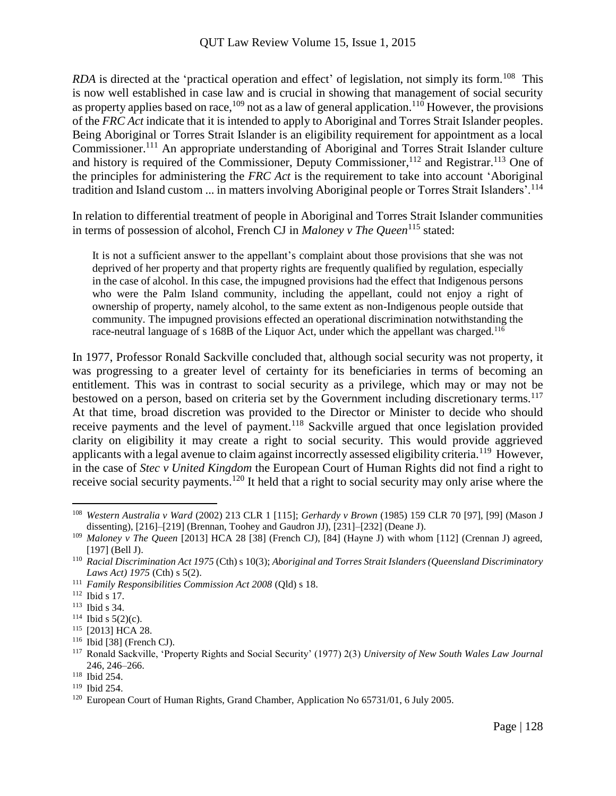RDA is directed at the 'practical operation and effect' of legislation, not simply its form.<sup>108</sup> This is now well established in case law and is crucial in showing that management of social security as property applies based on race,<sup>109</sup> not as a law of general application.<sup>110</sup> However, the provisions of the *FRC Act* indicate that it is intended to apply to Aboriginal and Torres Strait Islander peoples. Being Aboriginal or Torres Strait Islander is an eligibility requirement for appointment as a local Commissioner.<sup>111</sup> An appropriate understanding of Aboriginal and Torres Strait Islander culture and history is required of the Commissioner, Deputy Commissioner,  $^{112}$  and Registrar.  $^{113}$  One of the principles for administering the *FRC Act* is the requirement to take into account 'Aboriginal tradition and Island custom ... in matters involving Aboriginal people or Torres Strait Islanders'.<sup>114</sup>

In relation to differential treatment of people in Aboriginal and Torres Strait Islander communities in terms of possession of alcohol, French CJ in *Maloney v The Queen*<sup>115</sup> stated:

It is not a sufficient answer to the appellant's complaint about those provisions that she was not deprived of her property and that property rights are frequently qualified by regulation, especially in the case of alcohol. In this case, the impugned provisions had the effect that Indigenous persons who were the Palm Island community, including the appellant, could not enjoy a right of ownership of property, namely alcohol, to the same extent as non-Indigenous people outside that community. The impugned provisions effected an operational discrimination notwithstanding the race-neutral language of s 168B of the Liquor Act, under which the appellant was charged.<sup>116</sup>

In 1977, Professor Ronald Sackville concluded that, although social security was not property, it was progressing to a greater level of certainty for its beneficiaries in terms of becoming an entitlement. This was in contrast to social security as a privilege, which may or may not be bestowed on a person, based on criteria set by the Government including discretionary terms.<sup>117</sup> At that time, broad discretion was provided to the Director or Minister to decide who should receive payments and the level of payment.<sup>118</sup> Sackville argued that once legislation provided clarity on eligibility it may create a right to social security. This would provide aggrieved applicants with a legal avenue to claim against incorrectly assessed eligibility criteria.<sup>119</sup> However, in the case of *Stec v United Kingdom* the European Court of Human Rights did not find a right to receive social security payments.<sup>120</sup> It held that a right to social security may only arise where the

<sup>108</sup> *Western Australia v Ward* (2002) 213 CLR 1 [115]; *Gerhardy v Brown* (1985) 159 CLR 70 [97], [99] (Mason J dissenting), [216]–[219] (Brennan, Toohey and Gaudron JJ), [231]–[232] (Deane J).

<sup>109</sup> *Maloney v The Queen* [2013] HCA 28 [38] (French CJ), [84] (Hayne J) with whom [112] (Crennan J) agreed, [197] (Bell J).

<sup>110</sup> *Racial Discrimination Act 1975* (Cth) s 10(3); *Aboriginal and Torres Strait Islanders (Queensland Discriminatory Laws Act) 1975* (Cth) s 5(2).

<sup>111</sup> *Family Responsibilities Commission Act 2008* (Qld) s 18.

<sup>112</sup> Ibid s 17.

<sup>113</sup> Ibid s 34.

<sup>&</sup>lt;sup>114</sup> Ibid s  $5(2)(c)$ .

<sup>115</sup> [2013] HCA 28.

<sup>116</sup> Ibid [38] (French CJ).

<sup>117</sup> Ronald Sackville, 'Property Rights and Social Security' (1977) 2(3) *University of New South Wales Law Journal* 246, 246–266.

<sup>118</sup> Ibid 254.

<sup>119</sup> Ibid 254.

<sup>&</sup>lt;sup>120</sup> European Court of Human Rights, Grand Chamber, Application No 65731/01, 6 July 2005.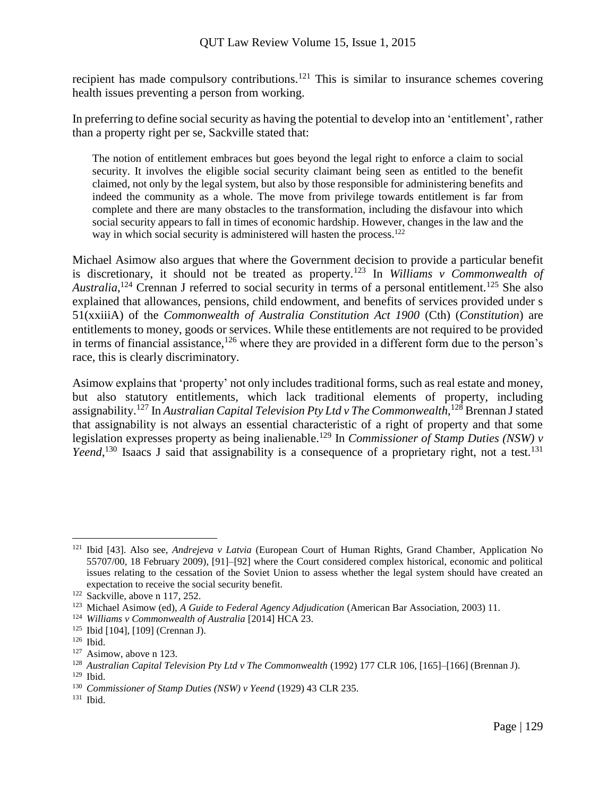recipient has made compulsory contributions.<sup>121</sup> This is similar to insurance schemes covering health issues preventing a person from working.

In preferring to define social security as having the potential to develop into an 'entitlement', rather than a property right per se, Sackville stated that:

The notion of entitlement embraces but goes beyond the legal right to enforce a claim to social security. It involves the eligible social security claimant being seen as entitled to the benefit claimed, not only by the legal system, but also by those responsible for administering benefits and indeed the community as a whole. The move from privilege towards entitlement is far from complete and there are many obstacles to the transformation, including the disfavour into which social security appears to fall in times of economic hardship. However, changes in the law and the way in which social security is administered will hasten the process.<sup>122</sup>

Michael Asimow also argues that where the Government decision to provide a particular benefit is discretionary, it should not be treated as property.<sup>123</sup> In *Williams v Commonwealth of*  Australia,<sup>124</sup> Crennan J referred to social security in terms of a personal entitlement.<sup>125</sup> She also explained that allowances, pensions, child endowment, and benefits of services provided under s 51(xxiiiA) of the *Commonwealth of Australia Constitution Act 1900* (Cth) (*Constitution*) are entitlements to money, goods or services. While these entitlements are not required to be provided in terms of financial assistance,<sup>126</sup> where they are provided in a different form due to the person's race, this is clearly discriminatory.

Asimow explains that 'property' not only includes traditional forms, such as real estate and money, but also statutory entitlements, which lack traditional elements of property, including assignability.<sup>127</sup> In *Australian Capital Television Pty Ltd v The Commonwealth*,<sup>128</sup> Brennan J stated that assignability is not always an essential characteristic of a right of property and that some legislation expresses property as being inalienable.<sup>129</sup> In *Commissioner of Stamp Duties (NSW) v*  Yeend,<sup>130</sup> Isaacs J said that assignability is a consequence of a proprietary right, not a test.<sup>131</sup>

<sup>121</sup> Ibid [43]. Also see, *Andrejeva v Latvia* (European Court of Human Rights, Grand Chamber, Application No 55707/00, 18 February 2009), [91]–[92] where the Court considered complex historical, economic and political issues relating to the cessation of the Soviet Union to assess whether the legal system should have created an expectation to receive the social security benefit.

<sup>122</sup> Sackville, above n 117, 252.

<sup>123</sup> Michael Asimow (ed), *A Guide to Federal Agency Adjudication* (American Bar Association, 2003) 11.

<sup>124</sup> *Williams v Commonwealth of Australia* [2014] HCA 23.

<sup>125</sup> Ibid [104], [109] (Crennan J).

<sup>126</sup> Ibid.

<sup>&</sup>lt;sup>127</sup> Asimow, above n 123.

<sup>128</sup> *Australian Capital Television Pty Ltd v The Commonwealth* (1992) 177 CLR 106, [165]–[166] (Brennan J). <sup>129</sup> Ibid.

<sup>130</sup> *Commissioner of Stamp Duties (NSW) v Yeend* (1929) 43 CLR 235.

<sup>131</sup> Ibid.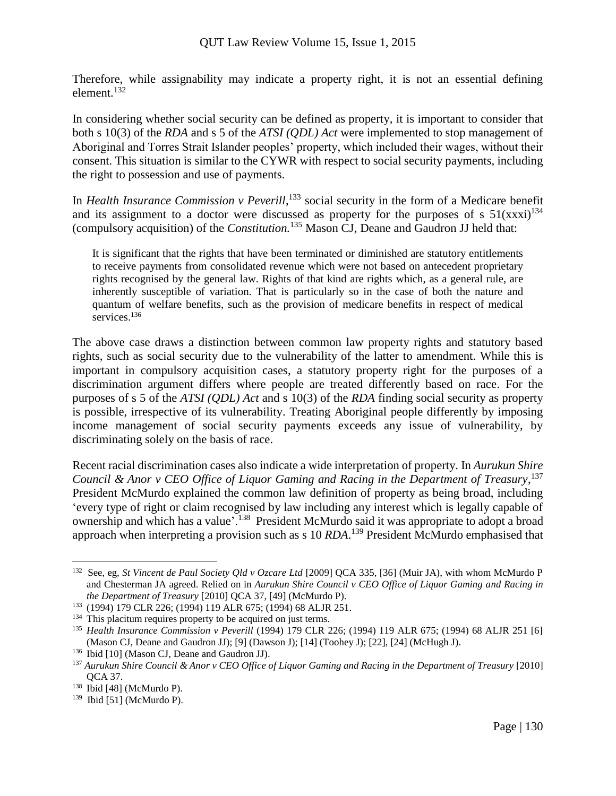Therefore, while assignability may indicate a property right, it is not an essential defining element.<sup>132</sup>

In considering whether social security can be defined as property, it is important to consider that both s 10(3) of the *RDA* and s 5 of the *ATSI (QDL) Act* were implemented to stop management of Aboriginal and Torres Strait Islander peoples' property, which included their wages, without their consent. This situation is similar to the CYWR with respect to social security payments, including the right to possession and use of payments.

In *Health Insurance Commission v Peverill*,<sup>133</sup> social security in the form of a Medicare benefit and its assignment to a doctor were discussed as property for the purposes of s  $51(xxxi)^{134}$ (compulsory acquisition) of the *Constitution.*<sup>135</sup> Mason CJ, Deane and Gaudron JJ held that:

It is significant that the rights that have been terminated or diminished are statutory entitlements to receive payments from consolidated revenue which were not based on antecedent proprietary rights recognised by the general law. Rights of that kind are rights which, as a general rule, are inherently susceptible of variation. That is particularly so in the case of both the nature and quantum of welfare benefits, such as the provision of medicare benefits in respect of medical services.<sup>136</sup>

The above case draws a distinction between common law property rights and statutory based rights, such as social security due to the vulnerability of the latter to amendment. While this is important in compulsory acquisition cases, a statutory property right for the purposes of a discrimination argument differs where people are treated differently based on race. For the purposes of s 5 of the *ATSI (QDL) Act* and s 10(3) of the *RDA* finding social security as property is possible, irrespective of its vulnerability. Treating Aboriginal people differently by imposing income management of social security payments exceeds any issue of vulnerability, by discriminating solely on the basis of race.

Recent racial discrimination cases also indicate a wide interpretation of property. In *Aurukun Shire Council & Anor v CEO Office of Liquor Gaming and Racing in the Department of Treasury*, 137 President McMurdo explained the common law definition of property as being broad, including 'every type of right or claim recognised by law including any interest which is legally capable of ownership and which has a value'.<sup>138</sup> President McMurdo said it was appropriate to adopt a broad approach when interpreting a provision such as s 10 *RDA*. <sup>139</sup> President McMurdo emphasised that

<sup>132</sup> See, eg, *St Vincent de Paul Society Qld v Ozcare Ltd* [2009] QCA 335, [36] (Muir JA), with whom McMurdo P and Chesterman JA agreed. Relied on in *Aurukun Shire Council v CEO Office of Liquor Gaming and Racing in the Department of Treasury* [2010] QCA 37, [49] (McMurdo P).

<sup>133</sup> (1994) 179 CLR 226; (1994) 119 ALR 675; (1994) 68 ALJR 251.

<sup>&</sup>lt;sup>134</sup> This placitum requires property to be acquired on just terms.

<sup>135</sup> *Health Insurance Commission v Peverill* (1994) 179 CLR 226; (1994) 119 ALR 675; (1994) 68 ALJR 251 [6] (Mason CJ, Deane and Gaudron JJ); [9] (Dawson J); [14] (Toohey J); [22], [24] (McHugh J).

<sup>136</sup> Ibid [10] (Mason CJ, Deane and Gaudron JJ).

<sup>137</sup> *Aurukun Shire Council & Anor v CEO Office of Liquor Gaming and Racing in the Department of Treasury* [2010] QCA 37.

<sup>&</sup>lt;sup>138</sup> Ibid [48] (McMurdo P).

<sup>139</sup> Ibid [51] (McMurdo P).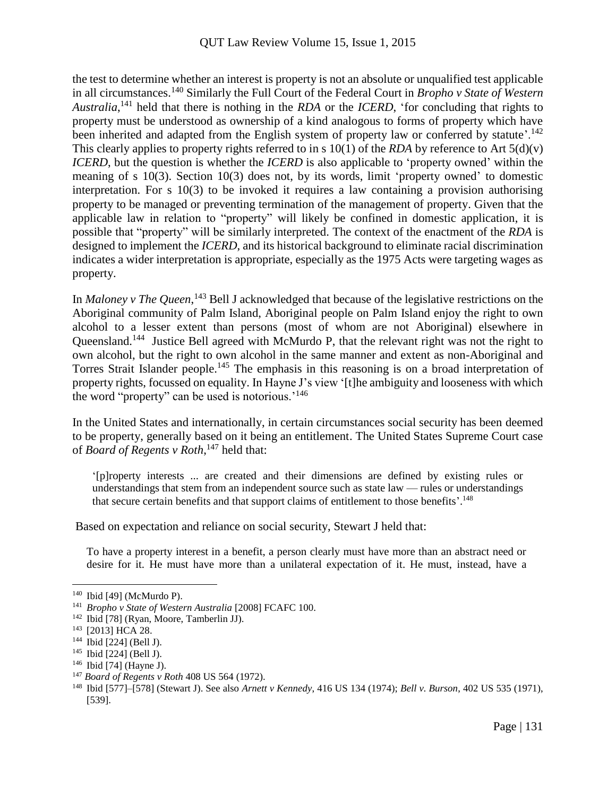the test to determine whether an interest is property is not an absolute or unqualified test applicable in all circumstances.<sup>140</sup> Similarly the Full Court of the Federal Court in *Bropho v State of Western Australia*, <sup>141</sup> held that there is nothing in the *RDA* or the *ICERD*, 'for concluding that rights to property must be understood as ownership of a kind analogous to forms of property which have been inherited and adapted from the English system of property law or conferred by statute'.<sup>142</sup> This clearly applies to property rights referred to in s 10(1) of the *RDA* by reference to Art 5(d)(v) *ICERD*, but the question is whether the *ICERD* is also applicable to 'property owned' within the meaning of s 10(3). Section 10(3) does not, by its words, limit 'property owned' to domestic interpretation. For s 10(3) to be invoked it requires a law containing a provision authorising property to be managed or preventing termination of the management of property. Given that the applicable law in relation to "property" will likely be confined in domestic application, it is possible that "property" will be similarly interpreted. The context of the enactment of the *RDA* is designed to implement the *ICERD*, and its historical background to eliminate racial discrimination indicates a wider interpretation is appropriate, especially as the 1975 Acts were targeting wages as property.

In *Maloney v The Queen*,<sup>143</sup> Bell J acknowledged that because of the legislative restrictions on the Aboriginal community of Palm Island, Aboriginal people on Palm Island enjoy the right to own alcohol to a lesser extent than persons (most of whom are not Aboriginal) elsewhere in Queensland.<sup>144</sup> Justice Bell agreed with McMurdo P, that the relevant right was not the right to own alcohol, but the right to own alcohol in the same manner and extent as non-Aboriginal and Torres Strait Islander people.<sup>145</sup> The emphasis in this reasoning is on a broad interpretation of property rights, focussed on equality. In Hayne J's view '[t]he ambiguity and looseness with which the word "property" can be used is notorious.<sup>'146</sup>

In the United States and internationally, in certain circumstances social security has been deemed to be property, generally based on it being an entitlement. The United States Supreme Court case of *Board of Regents v Roth*, <sup>147</sup> held that:

'[p]roperty interests ... are created and their dimensions are defined by existing rules or understandings that stem from an independent source such as state law — rules or understandings that secure certain benefits and that support claims of entitlement to those benefits'. 148

Based on expectation and reliance on social security, Stewart J held that:

To have a property interest in a benefit, a person clearly must have more than an abstract need or desire for it. He must have more than a unilateral expectation of it. He must, instead, have a

<sup>140</sup> Ibid [49] (McMurdo P).

<sup>141</sup> *Bropho v State of Western Australia* [2008] FCAFC 100.

<sup>142</sup> Ibid [78] (Ryan, Moore, Tamberlin JJ).

<sup>143</sup> [2013] HCA 28.

<sup>144</sup> Ibid [224] (Bell J).

<sup>145</sup> Ibid [224] (Bell J).

<sup>146</sup> Ibid [74] (Hayne J).

<sup>147</sup> *Board of Regents v Roth* 408 US 564 (1972).

<sup>148</sup> Ibid [577]–[578] (Stewart J). See also *Arnett v Kennedy*, 416 US 134 (1974); *Bell v. Burson*, 402 US 535 (1971), [539].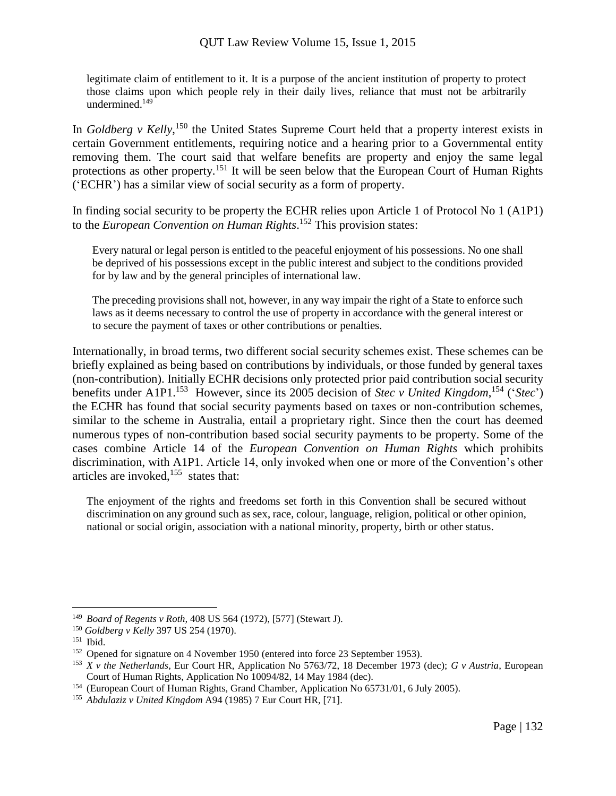legitimate claim of entitlement to it. It is a purpose of the ancient institution of property to protect those claims upon which people rely in their daily lives, reliance that must not be arbitrarily undermined.<sup>149</sup>

In *Goldberg v Kelly*,<sup>150</sup> the United States Supreme Court held that a property interest exists in certain Government entitlements, requiring notice and a hearing prior to a Governmental entity removing them. The court said that welfare benefits are property and enjoy the same legal protections as other property.<sup>151</sup> It will be seen below that the European Court of Human Rights ('ECHR') has a similar view of social security as a form of property.

In finding social security to be property the ECHR relies upon Article 1 of Protocol No 1 (A1P1) to the *European Convention on Human Rights*. <sup>152</sup> This provision states:

Every natural or legal person is entitled to the peaceful enjoyment of his possessions. No one shall be deprived of his possessions except in the public interest and subject to the conditions provided for by law and by the general principles of international law.

The preceding provisions shall not, however, in any way impair the right of a State to enforce such laws as it deems necessary to control the use of property in accordance with the general interest or to secure the payment of taxes or other contributions or penalties.

Internationally, in broad terms, two different social security schemes exist. These schemes can be briefly explained as being based on contributions by individuals, or those funded by general taxes (non-contribution). Initially ECHR decisions only protected prior paid contribution social security benefits under A1P1.<sup>153</sup> However, since its 2005 decision of *Stec v United Kingdom*,<sup>154</sup> ('*Stec*') the ECHR has found that social security payments based on taxes or non-contribution schemes, similar to the scheme in Australia, entail a proprietary right. Since then the court has deemed numerous types of non-contribution based social security payments to be property. Some of the cases combine Article 14 of the *European Convention on Human Rights* which prohibits discrimination, with A1P1. Article 14, only invoked when one or more of the Convention's other articles are invoked,  $155$  states that:

The enjoyment of the rights and freedoms set forth in this Convention shall be secured without discrimination on any ground such as sex, race, colour, language, religion, political or other opinion, national or social origin, association with a national minority, property, birth or other status.

<sup>149</sup> *Board of Regents v Roth,* 408 US 564 (1972), [577] (Stewart J).

<sup>150</sup> *Goldberg v Kelly* 397 US 254 (1970).

<sup>151</sup> Ibid.

<sup>&</sup>lt;sup>152</sup> Opened for signature on 4 November 1950 (entered into force 23 September 1953).

<sup>153</sup> *X v the Netherlands*, Eur Court HR, Application No 5763/72, 18 December 1973 (dec); *G v Austria*, European Court of Human Rights, Application No 10094/82, 14 May 1984 (dec).

<sup>154</sup> (European Court of Human Rights, Grand Chamber, Application No 65731/01, 6 July 2005).

<sup>155</sup> *Abdulaziz v United Kingdom* A94 (1985) 7 Eur Court HR, [71].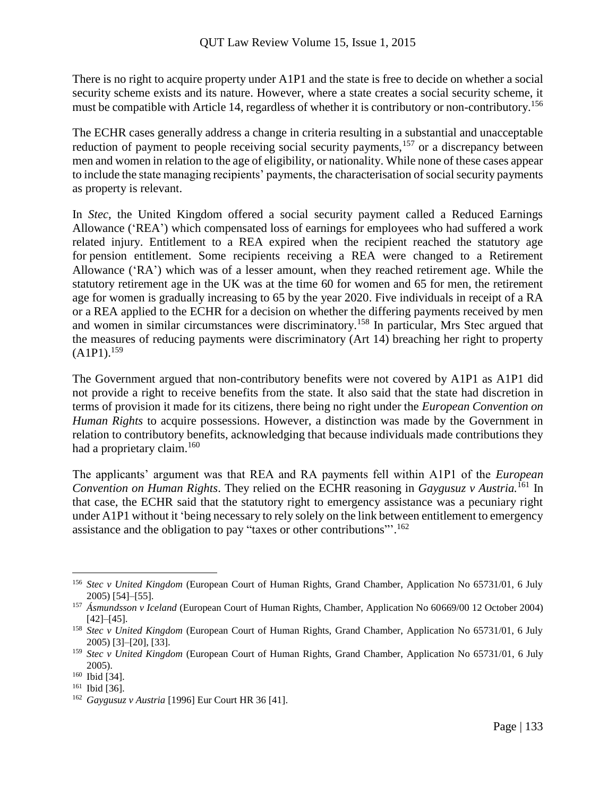There is no right to acquire property under A1P1 and the state is free to decide on whether a social security scheme exists and its nature. However, where a state creates a social security scheme, it must be compatible with Article 14, regardless of whether it is contributory or non-contributory.<sup>156</sup>

The ECHR cases generally address a change in criteria resulting in a substantial and unacceptable reduction of payment to people receiving social security payments,<sup>157</sup> or a discrepancy between men and women in relation to the age of eligibility, or nationality. While none of these cases appear to include the state managing recipients' payments, the characterisation of social security payments as property is relevant.

In *Stec*, the United Kingdom offered a social security payment called a Reduced Earnings Allowance ('REA') which compensated loss of earnings for employees who had suffered a work related injury. Entitlement to a REA expired when the recipient reached the statutory age for pension entitlement. Some recipients receiving a REA were changed to a Retirement Allowance ('RA') which was of a lesser amount, when they reached retirement age. While the statutory retirement age in the UK was at the time 60 for women and 65 for men, the retirement age for women is gradually increasing to 65 by the year 2020. Five individuals in receipt of a RA or a REA applied to the ECHR for a decision on whether the differing payments received by men and women in similar circumstances were discriminatory.<sup>158</sup> In particular, Mrs Stec argued that the measures of reducing payments were discriminatory (Art 14) breaching her right to property  $(A1P1).^{159}$ 

The Government argued that non-contributory benefits were not covered by A1P1 as A1P1 did not provide a right to receive benefits from the state. It also said that the state had discretion in terms of provision it made for its citizens, there being no right under the *European Convention on Human Rights* to acquire possessions. However, a distinction was made by the Government in relation to contributory benefits, acknowledging that because individuals made contributions they had a proprietary claim.<sup>160</sup>

The applicants' argument was that REA and RA payments fell within A1P1 of the *European Convention on Human Rights*. They relied on the ECHR reasoning in *Gaygusuz v Austria.*<sup>161</sup> In that case, the ECHR said that the statutory right to emergency assistance was a pecuniary right under A1P1 without it 'being necessary to rely solely on the link between entitlement to emergency assistance and the obligation to pay "taxes or other contributions"<sup>162</sup>

<sup>156</sup> *Stec v United Kingdom* (European Court of Human Rights, Grand Chamber, Application No 65731/01, 6 July 2005) [54]–[55].

<sup>157</sup> *Ásmundsson v Iceland* (European Court of Human Rights, Chamber, Application No 60669/00 12 October 2004) [42]–[45].

<sup>158</sup> *Stec v United Kingdom* (European Court of Human Rights, Grand Chamber, Application No 65731/01, 6 July 2005) [3]–[20], [33].

<sup>159</sup> *Stec v United Kingdom* (European Court of Human Rights, Grand Chamber, Application No 65731/01, 6 July 2005).

<sup>160</sup> Ibid [34].

<sup>161</sup> Ibid [36].

<sup>162</sup> *Gaygusuz v Austria* [1996] Eur Court HR 36 [41].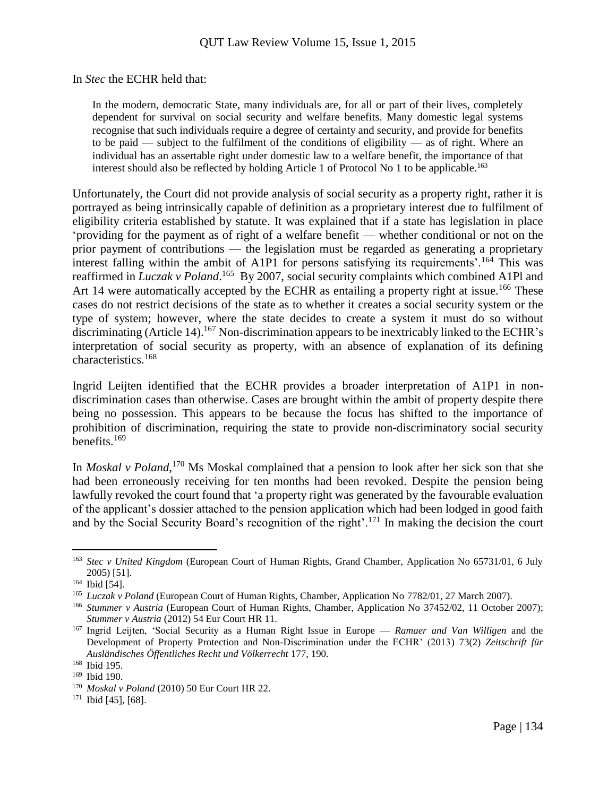#### In *Stec* the ECHR held that:

In the modern, democratic State, many individuals are, for all or part of their lives, completely dependent for survival on social security and welfare benefits. Many domestic legal systems recognise that such individuals require a degree of certainty and security, and provide for benefits to be paid — subject to the fulfilment of the conditions of eligibility — as of right. Where an individual has an assertable right under domestic law to a welfare benefit, the importance of that interest should also be reflected by holding Article 1 of Protocol No 1 to be applicable.<sup>163</sup>

Unfortunately, the Court did not provide analysis of social security as a property right, rather it is portrayed as being intrinsically capable of definition as a proprietary interest due to fulfilment of eligibility criteria established by statute. It was explained that if a state has legislation in place 'providing for the payment as of right of a welfare benefit — whether conditional or not on the prior payment of contributions — the legislation must be regarded as generating a proprietary interest falling within the ambit of A1P1 for persons satisfying its requirements'.<sup>164</sup> This was reaffirmed in *Luczak v Poland*.<sup>165</sup> By 2007, social security complaints which combined A1Pl and Art 14 were automatically accepted by the ECHR as entailing a property right at issue.<sup>166</sup> These cases do not restrict decisions of the state as to whether it creates a social security system or the type of system; however, where the state decides to create a system it must do so without discriminating (Article 14).<sup>167</sup> Non-discrimination appears to be inextricably linked to the ECHR's interpretation of social security as property, with an absence of explanation of its defining characteristics.<sup>168</sup>

Ingrid Leijten identified that the ECHR provides a broader interpretation of A1P1 in nondiscrimination cases than otherwise. Cases are brought within the ambit of property despite there being no possession. This appears to be because the focus has shifted to the importance of prohibition of discrimination, requiring the state to provide non-discriminatory social security benefits.<sup>169</sup>

In *Moskal v Poland*, <sup>170</sup> Ms Moskal complained that a pension to look after her sick son that she had been erroneously receiving for ten months had been revoked. Despite the pension being lawfully revoked the court found that 'a property right was generated by the favourable evaluation of the applicant's dossier attached to the pension application which had been lodged in good faith and by the Social Security Board's recognition of the right'.<sup>171</sup> In making the decision the court

<sup>163</sup> *Stec v United Kingdom* (European Court of Human Rights, Grand Chamber, Application No 65731/01, 6 July 2005) [51].

<sup>&</sup>lt;sup>164</sup> Ibid [54].

<sup>165</sup> *Luczak v Poland* (European Court of Human Rights, Chamber, Application No 7782/01, 27 March 2007).

<sup>166</sup> *Stummer v Austria* (European Court of Human Rights, Chamber, Application No 37452/02, 11 October 2007); *Stummer v Austria* (2012) 54 Eur Court HR 11.

<sup>167</sup> Ingrid Leijten, 'Social Security as a Human Right Issue in Europe — *Ramaer and Van Willigen* and the Development of Property Protection and Non-Discrimination under the ECHR' (2013) 73(2) *Zeitschrift für Ausländisches Öffentliches Recht und Völkerrecht* 177, 190.

<sup>168</sup> Ibid 195.

<sup>169</sup> Ibid 190.

<sup>170</sup> *Moskal v Poland* (2010) 50 Eur Court HR 22.

<sup>171</sup> Ibid [45], [68].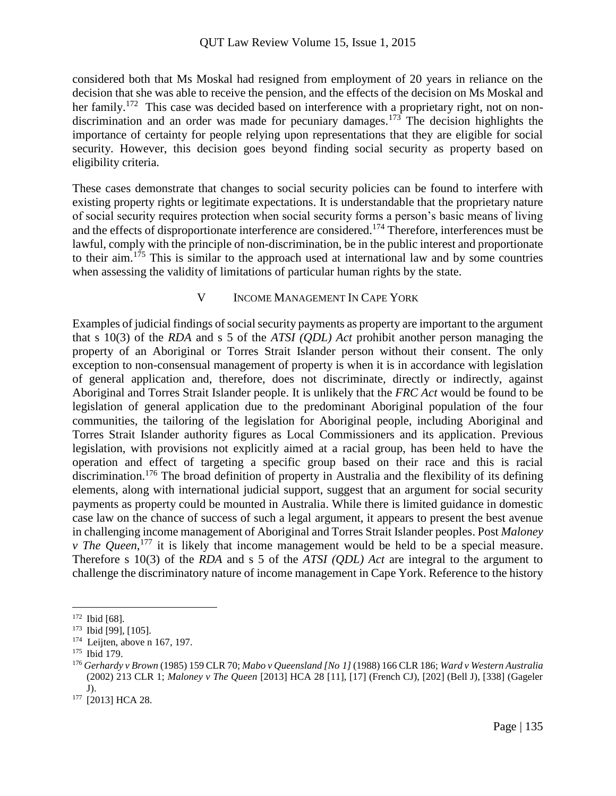considered both that Ms Moskal had resigned from employment of 20 years in reliance on the decision that she was able to receive the pension, and the effects of the decision on Ms Moskal and her family.<sup>172</sup> This case was decided based on interference with a proprietary right, not on nondiscrimination and an order was made for pecuniary damages.<sup>173</sup> The decision highlights the importance of certainty for people relying upon representations that they are eligible for social security. However, this decision goes beyond finding social security as property based on eligibility criteria.

These cases demonstrate that changes to social security policies can be found to interfere with existing property rights or legitimate expectations. It is understandable that the proprietary nature of social security requires protection when social security forms a person's basic means of living and the effects of disproportionate interference are considered.<sup>174</sup> Therefore, interferences must be lawful, comply with the principle of non-discrimination, be in the public interest and proportionate to their aim.<sup>175</sup> This is similar to the approach used at international law and by some countries when assessing the validity of limitations of particular human rights by the state.

#### V INCOME MANAGEMENT IN CAPE YORK

Examples of judicial findings of social security payments as property are important to the argument that s 10(3) of the *RDA* and s 5 of the *ATSI (QDL) Act* prohibit another person managing the property of an Aboriginal or Torres Strait Islander person without their consent. The only exception to non-consensual management of property is when it is in accordance with legislation of general application and, therefore, does not discriminate, directly or indirectly, against Aboriginal and Torres Strait Islander people. It is unlikely that the *FRC Act* would be found to be legislation of general application due to the predominant Aboriginal population of the four communities, the tailoring of the legislation for Aboriginal people, including Aboriginal and Torres Strait Islander authority figures as Local Commissioners and its application. Previous legislation, with provisions not explicitly aimed at a racial group, has been held to have the operation and effect of targeting a specific group based on their race and this is racial discrimination.<sup>176</sup> The broad definition of property in Australia and the flexibility of its defining elements, along with international judicial support, suggest that an argument for social security payments as property could be mounted in Australia. While there is limited guidance in domestic case law on the chance of success of such a legal argument, it appears to present the best avenue in challenging income management of Aboriginal and Torres Strait Islander peoples. Post *Maloney v* The Queen,<sup>177</sup> it is likely that income management would be held to be a special measure. Therefore s 10(3) of the *RDA* and s 5 of the *ATSI (QDL) Act* are integral to the argument to challenge the discriminatory nature of income management in Cape York. Reference to the history

<sup>172</sup> Ibid [68].

<sup>173</sup> Ibid [99], [105].

<sup>&</sup>lt;sup>174</sup> Leijten, above n 167, 197.

<sup>175</sup> Ibid 179.

<sup>176</sup> *Gerhardy v Brown* (1985) 159 CLR 70; *Mabo v Queensland [No 1]* (1988) 166 CLR 186; *Ward v Western Australia*  (2002) 213 CLR 1; *Maloney v The Queen* [2013] HCA 28 [11], [17] (French CJ), [202] (Bell J), [338] (Gageler J).

<sup>&</sup>lt;sup>177</sup> [2013] HCA 28.